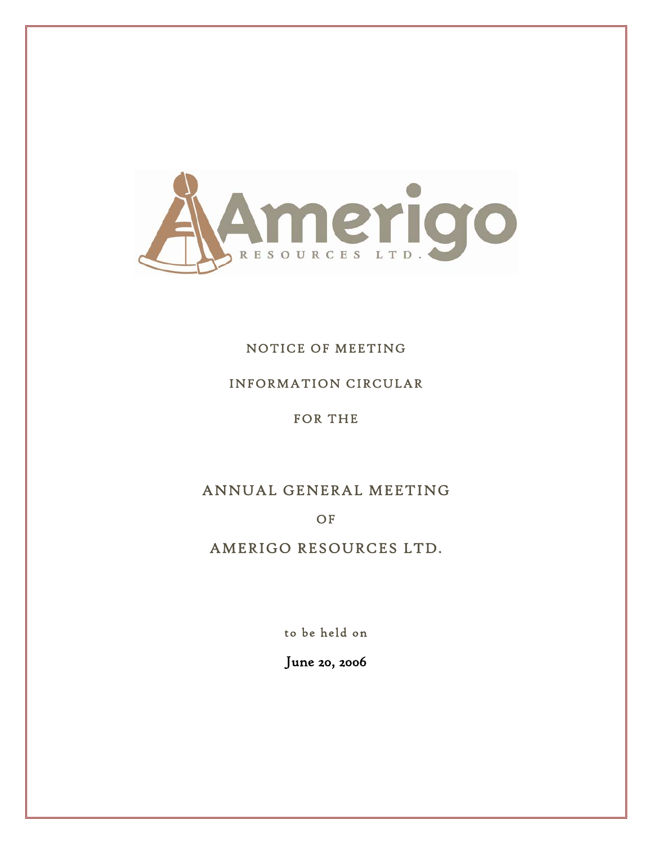

## NOTICE OF MEETING

### INFORMATION CIRCULAR

FOR THE

# ANNUAL GENERAL MEETING

OF

# AMERIGO RESOURCES LTD.

to be held on

June 20, 2006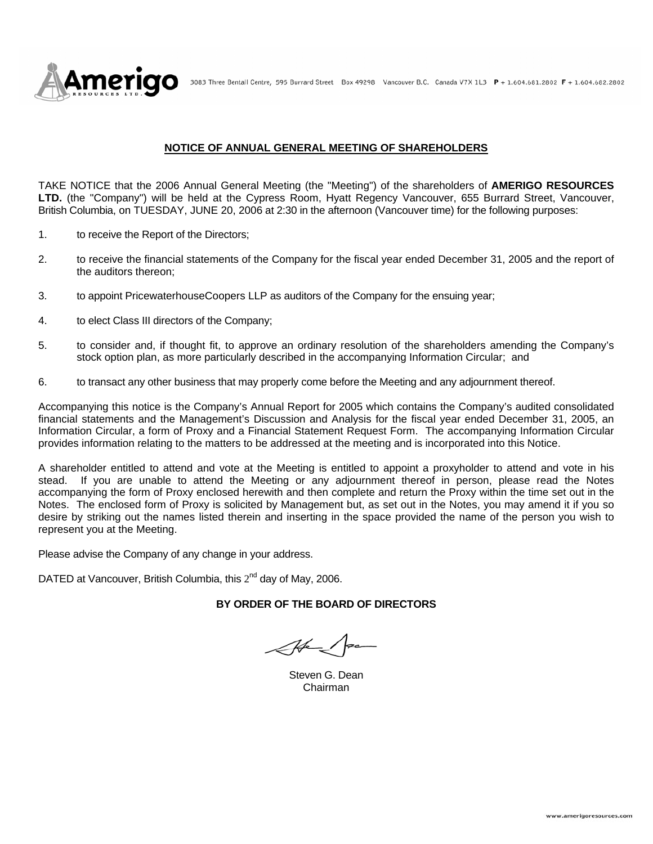

3083 Three Bentall Centre, 595 Burrard Street Box 49298 Vancouver B.C. Canada V7X 1L3 P + 1.604.681.2802 F + 1.604.682.2802

#### **NOTICE OF ANNUAL GENERAL MEETING OF SHAREHOLDERS**

TAKE NOTICE that the 2006 Annual General Meeting (the "Meeting") of the shareholders of **AMERIGO RESOURCES LTD.** (the "Company") will be held at the Cypress Room, Hyatt Regency Vancouver, 655 Burrard Street, Vancouver, British Columbia, on TUESDAY, JUNE 20, 2006 at 2:30 in the afternoon (Vancouver time) for the following purposes:

- 1. to receive the Report of the Directors;
- 2. to receive the financial statements of the Company for the fiscal year ended December 31, 2005 and the report of the auditors thereon;
- 3. to appoint PricewaterhouseCoopers LLP as auditors of the Company for the ensuing year;
- 4. to elect Class III directors of the Company;
- 5. to consider and, if thought fit, to approve an ordinary resolution of the shareholders amending the Company's stock option plan, as more particularly described in the accompanying Information Circular; and
- 6. to transact any other business that may properly come before the Meeting and any adjournment thereof.

Accompanying this notice is the Company's Annual Report for 2005 which contains the Company's audited consolidated financial statements and the Management's Discussion and Analysis for the fiscal year ended December 31, 2005, an Information Circular, a form of Proxy and a Financial Statement Request Form. The accompanying Information Circular provides information relating to the matters to be addressed at the meeting and is incorporated into this Notice.

A shareholder entitled to attend and vote at the Meeting is entitled to appoint a proxyholder to attend and vote in his stead. If you are unable to attend the Meeting or any adjournment thereof in person, please read the Notes accompanying the form of Proxy enclosed herewith and then complete and return the Proxy within the time set out in the Notes. The enclosed form of Proxy is solicited by Management but, as set out in the Notes, you may amend it if you so desire by striking out the names listed therein and inserting in the space provided the name of the person you wish to represent you at the Meeting.

Please advise the Company of any change in your address.

DATED at Vancouver, British Columbia, this  $2^{nd}$  day of May, 2006.

#### **BY ORDER OF THE BOARD OF DIRECTORS**

Aben

Steven G. Dean Chairman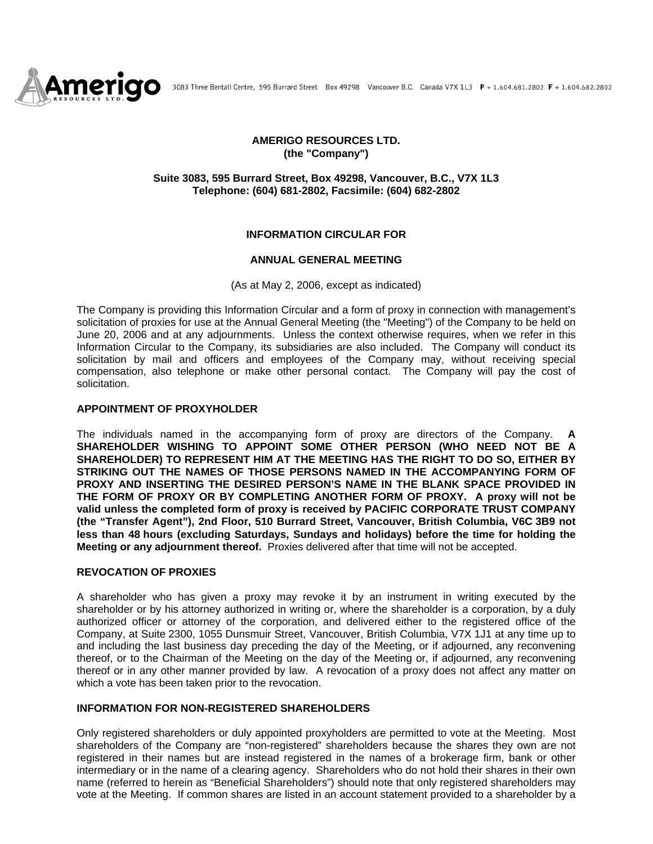

#### **AMERIGO RESOURCES LTD. (the "Company")**

#### **Suite 3083, 595 Burrard Street, Box 49298, Vancouver, B.C., V7X 1L3 Telephone: (604) 681-2802, Facsimile: (604) 682-2802**

#### **INFORMATION CIRCULAR FOR**

#### **ANNUAL GENERAL MEETING**

(As at May 2, 2006, except as indicated)

The Company is providing this Information Circular and a form of proxy in connection with management's solicitation of proxies for use at the Annual General Meeting (the "Meeting") of the Company to be held on June 20, 2006 and at any adjournments. Unless the context otherwise requires, when we refer in this Information Circular to the Company, its subsidiaries are also included. The Company will conduct its solicitation by mail and officers and employees of the Company may, without receiving special compensation, also telephone or make other personal contact. The Company will pay the cost of solicitation.

#### **APPOINTMENT OF PROXYHOLDER**

The individuals named in the accompanying form of proxy are directors of the Company. **A SHAREHOLDER WISHING TO APPOINT SOME OTHER PERSON (WHO NEED NOT BE A SHAREHOLDER) TO REPRESENT HIM AT THE MEETING HAS THE RIGHT TO DO SO, EITHER BY STRIKING OUT THE NAMES OF THOSE PERSONS NAMED IN THE ACCOMPANYING FORM OF PROXY AND INSERTING THE DESIRED PERSON'S NAME IN THE BLANK SPACE PROVIDED IN THE FORM OF PROXY OR BY COMPLETING ANOTHER FORM OF PROXY. A proxy will not be valid unless the completed form of proxy is received by PACIFIC CORPORATE TRUST COMPANY (the "Transfer Agent"), 2nd Floor, 510 Burrard Street, Vancouver, British Columbia, V6C 3B9 not less than 48 hours (excluding Saturdays, Sundays and holidays) before the time for holding the Meeting or any adjournment thereof.** Proxies delivered after that time will not be accepted.

#### **REVOCATION OF PROXIES**

A shareholder who has given a proxy may revoke it by an instrument in writing executed by the shareholder or by his attorney authorized in writing or, where the shareholder is a corporation, by a duly authorized officer or attorney of the corporation, and delivered either to the registered office of the Company, at Suite 2300, 1055 Dunsmuir Street, Vancouver, British Columbia, V7X 1J1 at any time up to and including the last business day preceding the day of the Meeting, or if adjourned, any reconvening thereof, or to the Chairman of the Meeting on the day of the Meeting or, if adjourned, any reconvening thereof or in any other manner provided by law. A revocation of a proxy does not affect any matter on which a vote has been taken prior to the revocation.

#### **INFORMATION FOR NON-REGISTERED SHAREHOLDERS**

Only registered shareholders or duly appointed proxyholders are permitted to vote at the Meeting. Most shareholders of the Company are "non-registered" shareholders because the shares they own are not registered in their names but are instead registered in the names of a brokerage firm, bank or other intermediary or in the name of a clearing agency. Shareholders who do not hold their shares in their own name (referred to herein as "Beneficial Shareholders") should note that only registered shareholders may vote at the Meeting. If common shares are listed in an account statement provided to a shareholder by a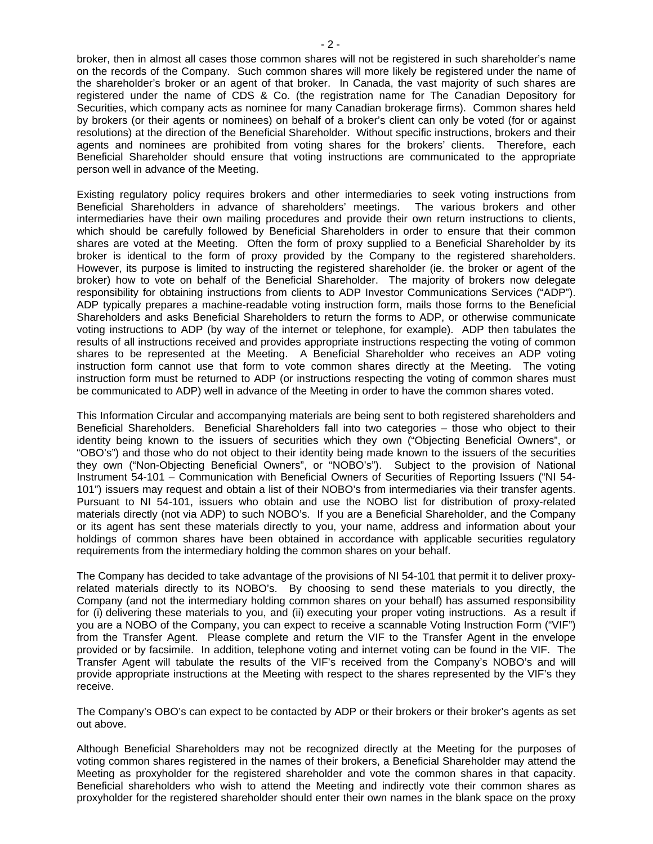broker, then in almost all cases those common shares will not be registered in such shareholder's name on the records of the Company. Such common shares will more likely be registered under the name of the shareholder's broker or an agent of that broker. In Canada, the vast majority of such shares are registered under the name of CDS & Co. (the registration name for The Canadian Depository for Securities, which company acts as nominee for many Canadian brokerage firms). Common shares held by brokers (or their agents or nominees) on behalf of a broker's client can only be voted (for or against resolutions) at the direction of the Beneficial Shareholder. Without specific instructions, brokers and their agents and nominees are prohibited from voting shares for the brokers' clients. Therefore, each Beneficial Shareholder should ensure that voting instructions are communicated to the appropriate person well in advance of the Meeting.

Existing regulatory policy requires brokers and other intermediaries to seek voting instructions from Beneficial Shareholders in advance of shareholders' meetings. The various brokers and other intermediaries have their own mailing procedures and provide their own return instructions to clients, which should be carefully followed by Beneficial Shareholders in order to ensure that their common shares are voted at the Meeting. Often the form of proxy supplied to a Beneficial Shareholder by its broker is identical to the form of proxy provided by the Company to the registered shareholders. However, its purpose is limited to instructing the registered shareholder (ie. the broker or agent of the broker) how to vote on behalf of the Beneficial Shareholder. The majority of brokers now delegate responsibility for obtaining instructions from clients to ADP Investor Communications Services ("ADP"). ADP typically prepares a machine-readable voting instruction form, mails those forms to the Beneficial Shareholders and asks Beneficial Shareholders to return the forms to ADP, or otherwise communicate voting instructions to ADP (by way of the internet or telephone, for example). ADP then tabulates the results of all instructions received and provides appropriate instructions respecting the voting of common shares to be represented at the Meeting. A Beneficial Shareholder who receives an ADP voting instruction form cannot use that form to vote common shares directly at the Meeting. The voting instruction form must be returned to ADP (or instructions respecting the voting of common shares must be communicated to ADP) well in advance of the Meeting in order to have the common shares voted.

This Information Circular and accompanying materials are being sent to both registered shareholders and Beneficial Shareholders. Beneficial Shareholders fall into two categories – those who object to their identity being known to the issuers of securities which they own ("Objecting Beneficial Owners", or "OBO's") and those who do not object to their identity being made known to the issuers of the securities they own ("Non-Objecting Beneficial Owners", or "NOBO's"). Subject to the provision of National Instrument 54-101 – Communication with Beneficial Owners of Securities of Reporting Issuers ("NI 54- 101") issuers may request and obtain a list of their NOBO's from intermediaries via their transfer agents. Pursuant to NI 54-101, issuers who obtain and use the NOBO list for distribution of proxy-related materials directly (not via ADP) to such NOBO's. If you are a Beneficial Shareholder, and the Company or its agent has sent these materials directly to you, your name, address and information about your holdings of common shares have been obtained in accordance with applicable securities regulatory requirements from the intermediary holding the common shares on your behalf.

The Company has decided to take advantage of the provisions of NI 54-101 that permit it to deliver proxyrelated materials directly to its NOBO's. By choosing to send these materials to you directly, the Company (and not the intermediary holding common shares on your behalf) has assumed responsibility for (i) delivering these materials to you, and (ii) executing your proper voting instructions. As a result if you are a NOBO of the Company, you can expect to receive a scannable Voting Instruction Form ("VIF") from the Transfer Agent. Please complete and return the VIF to the Transfer Agent in the envelope provided or by facsimile. In addition, telephone voting and internet voting can be found in the VIF. The Transfer Agent will tabulate the results of the VIF's received from the Company's NOBO's and will provide appropriate instructions at the Meeting with respect to the shares represented by the VIF's they receive.

The Company's OBO's can expect to be contacted by ADP or their brokers or their broker's agents as set out above.

Although Beneficial Shareholders may not be recognized directly at the Meeting for the purposes of voting common shares registered in the names of their brokers, a Beneficial Shareholder may attend the Meeting as proxyholder for the registered shareholder and vote the common shares in that capacity. Beneficial shareholders who wish to attend the Meeting and indirectly vote their common shares as proxyholder for the registered shareholder should enter their own names in the blank space on the proxy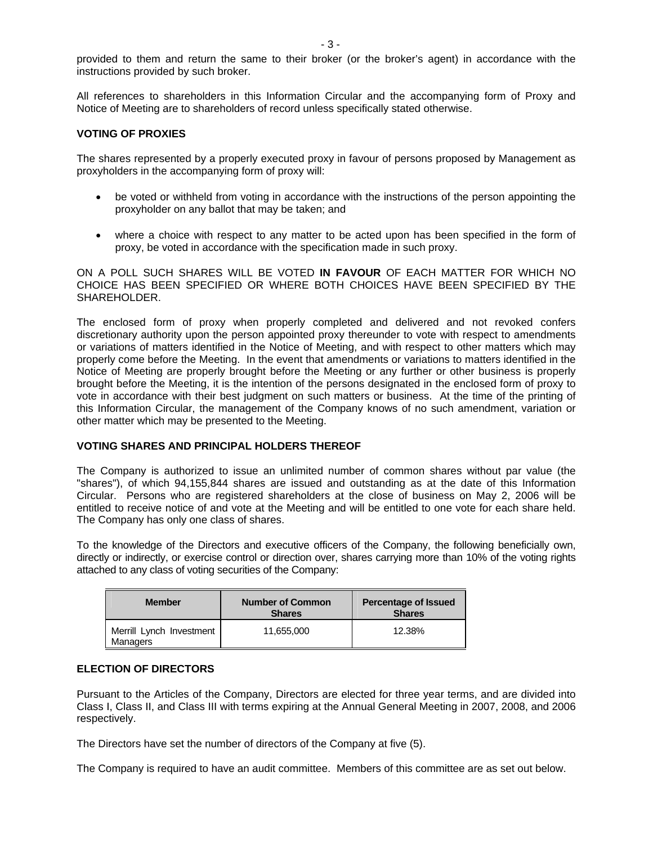provided to them and return the same to their broker (or the broker's agent) in accordance with the instructions provided by such broker.

All references to shareholders in this Information Circular and the accompanying form of Proxy and Notice of Meeting are to shareholders of record unless specifically stated otherwise.

#### **VOTING OF PROXIES**

The shares represented by a properly executed proxy in favour of persons proposed by Management as proxyholders in the accompanying form of proxy will:

- be voted or withheld from voting in accordance with the instructions of the person appointing the proxyholder on any ballot that may be taken; and
- where a choice with respect to any matter to be acted upon has been specified in the form of proxy, be voted in accordance with the specification made in such proxy.

ON A POLL SUCH SHARES WILL BE VOTED **IN FAVOUR** OF EACH MATTER FOR WHICH NO CHOICE HAS BEEN SPECIFIED OR WHERE BOTH CHOICES HAVE BEEN SPECIFIED BY THE SHAREHOLDER.

The enclosed form of proxy when properly completed and delivered and not revoked confers discretionary authority upon the person appointed proxy thereunder to vote with respect to amendments or variations of matters identified in the Notice of Meeting, and with respect to other matters which may properly come before the Meeting. In the event that amendments or variations to matters identified in the Notice of Meeting are properly brought before the Meeting or any further or other business is properly brought before the Meeting, it is the intention of the persons designated in the enclosed form of proxy to vote in accordance with their best judgment on such matters or business. At the time of the printing of this Information Circular, the management of the Company knows of no such amendment, variation or other matter which may be presented to the Meeting.

#### **VOTING SHARES AND PRINCIPAL HOLDERS THEREOF**

The Company is authorized to issue an unlimited number of common shares without par value (the "shares"), of which 94,155,844 shares are issued and outstanding as at the date of this Information Circular. Persons who are registered shareholders at the close of business on May 2, 2006 will be entitled to receive notice of and vote at the Meeting and will be entitled to one vote for each share held. The Company has only one class of shares.

To the knowledge of the Directors and executive officers of the Company, the following beneficially own, directly or indirectly, or exercise control or direction over, shares carrying more than 10% of the voting rights attached to any class of voting securities of the Company:

| <b>Member</b>                               | <b>Number of Common</b><br><b>Shares</b> | <b>Percentage of Issued</b><br><b>Shares</b> |
|---------------------------------------------|------------------------------------------|----------------------------------------------|
| Merrill Lynch Investment<br><b>Managers</b> | 11.655.000                               | 12.38%                                       |

#### **ELECTION OF DIRECTORS**

Pursuant to the Articles of the Company, Directors are elected for three year terms, and are divided into Class I, Class II, and Class III with terms expiring at the Annual General Meeting in 2007, 2008, and 2006 respectively.

The Directors have set the number of directors of the Company at five (5).

The Company is required to have an audit committee. Members of this committee are as set out below.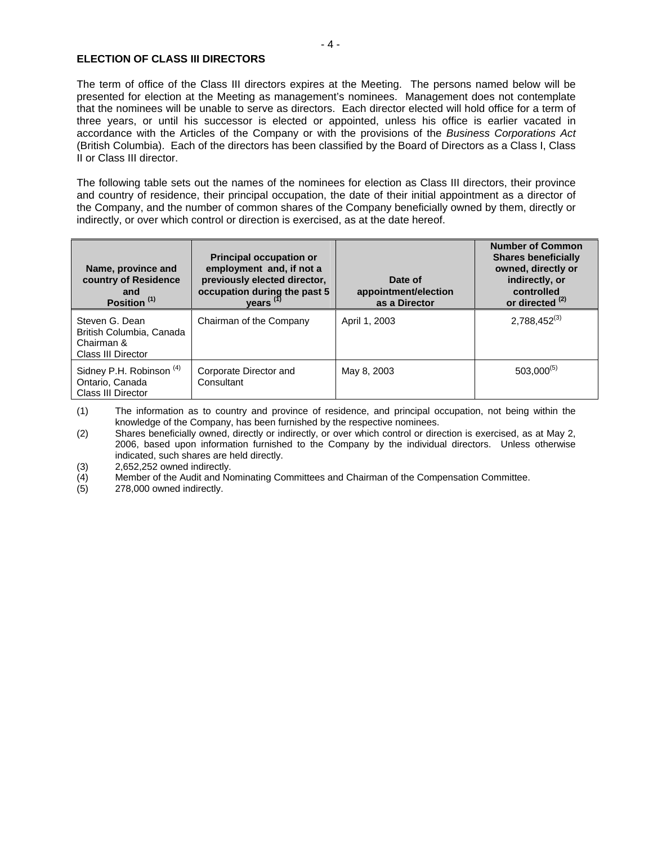#### **ELECTION OF CLASS III DIRECTORS**

The term of office of the Class III directors expires at the Meeting. The persons named below will be presented for election at the Meeting as management's nominees. Management does not contemplate that the nominees will be unable to serve as directors. Each director elected will hold office for a term of three years, or until his successor is elected or appointed, unless his office is earlier vacated in accordance with the Articles of the Company or with the provisions of the *Business Corporations Act* (British Columbia). Each of the directors has been classified by the Board of Directors as a Class I, Class II or Class III director.

The following table sets out the names of the nominees for election as Class III directors, their province and country of residence, their principal occupation, the date of their initial appointment as a director of the Company, and the number of common shares of the Company beneficially owned by them, directly or indirectly, or over which control or direction is exercised, as at the date hereof.

| Name, province and<br>country of Residence<br>and<br>Position <sup>(1)</sup>   | <b>Principal occupation or</b><br>employment and, if not a<br>previously elected director,<br>occupation during the past 5<br>years <sup>(1)</sup> | Date of<br>appointment/election<br>as a Director | <b>Number of Common</b><br><b>Shares beneficially</b><br>owned, directly or<br>indirectly, or<br>controlled<br>or directed <sup>(2)</sup> |
|--------------------------------------------------------------------------------|----------------------------------------------------------------------------------------------------------------------------------------------------|--------------------------------------------------|-------------------------------------------------------------------------------------------------------------------------------------------|
| Steven G. Dean<br>British Columbia, Canada<br>Chairman &<br>Class III Director | Chairman of the Company                                                                                                                            | April 1, 2003                                    | $2,788,452^{(3)}$                                                                                                                         |
| Sidney P.H. Robinson <sup>(4)</sup><br>Ontario, Canada<br>Class III Director   | Corporate Director and<br>Consultant                                                                                                               | May 8, 2003                                      | $503,000^{(5)}$                                                                                                                           |

(1) The information as to country and province of residence, and principal occupation, not being within the knowledge of the Company, has been furnished by the respective nominees.

(2) Shares beneficially owned, directly or indirectly, or over which control or direction is exercised, as at May 2, 2006, based upon information furnished to the Company by the individual directors. Unless otherwise indicated, such shares are held directly.

(3) 2,652,252 owned indirectly.

(4) Member of the Audit and Nominating Committees and Chairman of the Compensation Committee.<br>(5) 278,000 owned indirectly.

278,000 owned indirectly.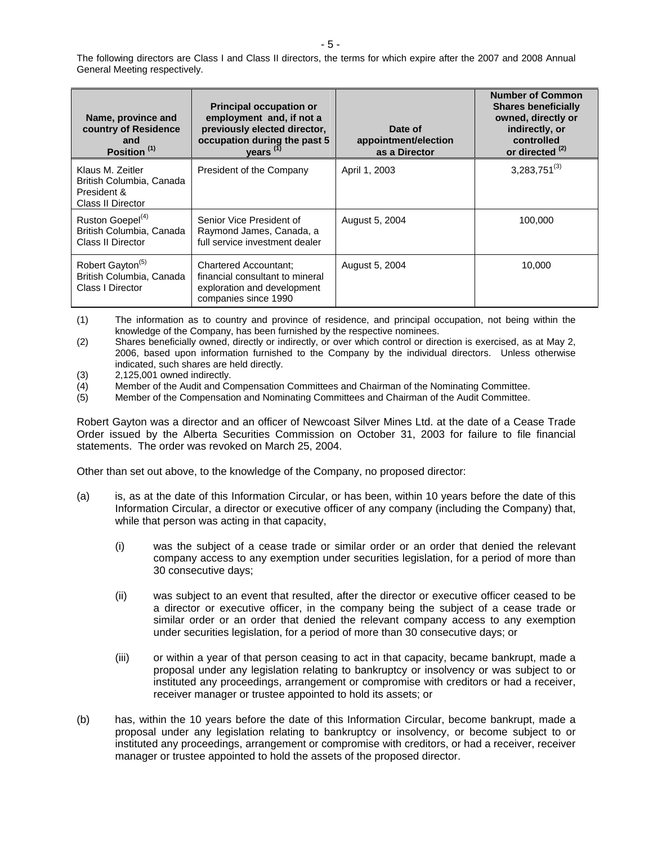The following directors are Class I and Class II directors, the terms for which expire after the 2007 and 2008 Annual General Meeting respectively.

| Name, province and<br>country of Residence<br>and<br>Position <sup>(1)</sup>     | <b>Principal occupation or</b><br>employment and, if not a<br>previously elected director,<br>occupation during the past 5<br>years <sup>(1)</sup> | Date of<br>appointment/election<br>as a Director | <b>Number of Common</b><br><b>Shares beneficially</b><br>owned, directly or<br>indirectly, or<br>controlled<br>or directed <sup>(2)</sup> |
|----------------------------------------------------------------------------------|----------------------------------------------------------------------------------------------------------------------------------------------------|--------------------------------------------------|-------------------------------------------------------------------------------------------------------------------------------------------|
| Klaus M. Zeitler<br>British Columbia, Canada<br>President &<br>Class II Director | President of the Company                                                                                                                           | April 1, 2003                                    | $3,283,751^{(3)}$                                                                                                                         |
| Ruston Goepel <sup>(4)</sup><br>British Columbia, Canada<br>Class II Director    | Senior Vice President of<br>Raymond James, Canada, a<br>full service investment dealer                                                             | August 5, 2004                                   | 100,000                                                                                                                                   |
| Robert Gayton <sup>(5)</sup><br>British Columbia, Canada<br>Class I Director     | <b>Chartered Accountant:</b><br>financial consultant to mineral<br>exploration and development<br>companies since 1990                             | August 5, 2004                                   | 10.000                                                                                                                                    |

(1) The information as to country and province of residence, and principal occupation, not being within the knowledge of the Company, has been furnished by the respective nominees.

(2) Shares beneficially owned, directly or indirectly, or over which control or direction is exercised, as at May 2, 2006, based upon information furnished to the Company by the individual directors. Unless otherwise indicated, such shares are held directly.

- (3) 2,125,001 owned indirectly.
- (4) Member of the Audit and Compensation Committees and Chairman of the Nominating Committee.
- (5) Member of the Compensation and Nominating Committees and Chairman of the Audit Committee.

Robert Gayton was a director and an officer of Newcoast Silver Mines Ltd. at the date of a Cease Trade Order issued by the Alberta Securities Commission on October 31, 2003 for failure to file financial statements. The order was revoked on March 25, 2004.

Other than set out above, to the knowledge of the Company, no proposed director:

- (a) is, as at the date of this Information Circular, or has been, within 10 years before the date of this Information Circular, a director or executive officer of any company (including the Company) that, while that person was acting in that capacity,
	- (i) was the subject of a cease trade or similar order or an order that denied the relevant company access to any exemption under securities legislation, for a period of more than 30 consecutive days;
	- (ii) was subject to an event that resulted, after the director or executive officer ceased to be a director or executive officer, in the company being the subject of a cease trade or similar order or an order that denied the relevant company access to any exemption under securities legislation, for a period of more than 30 consecutive days; or
	- (iii) or within a year of that person ceasing to act in that capacity, became bankrupt, made a proposal under any legislation relating to bankruptcy or insolvency or was subject to or instituted any proceedings, arrangement or compromise with creditors or had a receiver, receiver manager or trustee appointed to hold its assets; or
- (b) has, within the 10 years before the date of this Information Circular, become bankrupt, made a proposal under any legislation relating to bankruptcy or insolvency, or become subject to or instituted any proceedings, arrangement or compromise with creditors, or had a receiver, receiver manager or trustee appointed to hold the assets of the proposed director.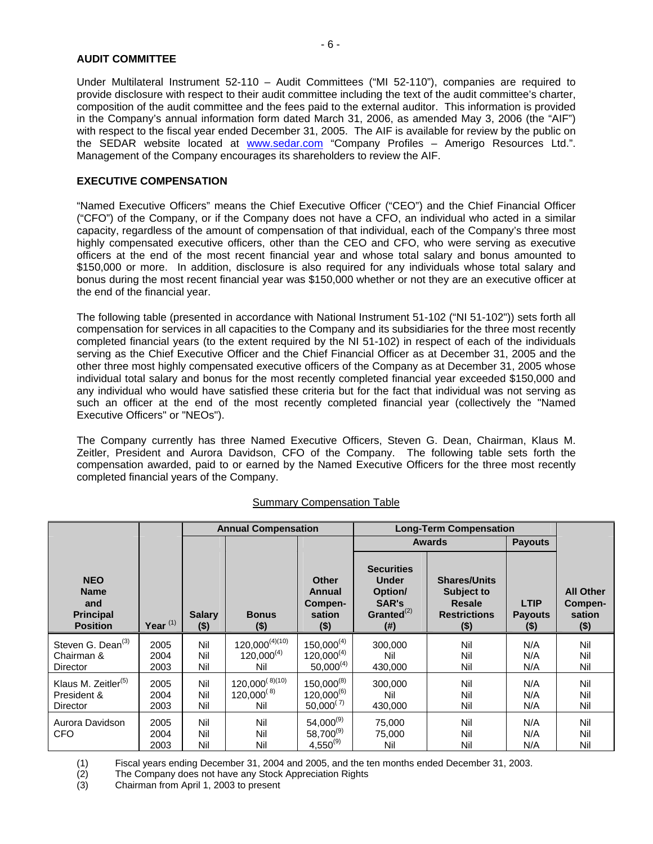#### **AUDIT COMMITTEE**

Under Multilateral Instrument 52-110 – Audit Committees ("MI 52-110"), companies are required to provide disclosure with respect to their audit committee including the text of the audit committee's charter, composition of the audit committee and the fees paid to the external auditor. This information is provided in the Company's annual information form dated March 31, 2006, as amended May 3, 2006 (the "AIF") with respect to the fiscal year ended December 31, 2005. The AIF is available for review by the public on the SEDAR website located at www.sedar.com "Company Profiles - Amerigo Resources Ltd.". Management of the Company encourages its shareholders to review the AIF.

#### **EXECUTIVE COMPENSATION**

"Named Executive Officers" means the Chief Executive Officer ("CEO") and the Chief Financial Officer ("CFO") of the Company, or if the Company does not have a CFO, an individual who acted in a similar capacity, regardless of the amount of compensation of that individual, each of the Company's three most highly compensated executive officers, other than the CEO and CFO, who were serving as executive officers at the end of the most recent financial year and whose total salary and bonus amounted to \$150,000 or more. In addition, disclosure is also required for any individuals whose total salary and bonus during the most recent financial year was \$150,000 whether or not they are an executive officer at the end of the financial year.

The following table (presented in accordance with National Instrument 51-102 ("NI 51-102")) sets forth all compensation for services in all capacities to the Company and its subsidiaries for the three most recently completed financial years (to the extent required by the NI 51-102) in respect of each of the individuals serving as the Chief Executive Officer and the Chief Financial Officer as at December 31, 2005 and the other three most highly compensated executive officers of the Company as at December 31, 2005 whose individual total salary and bonus for the most recently completed financial year exceeded \$150,000 and any individual who would have satisfied these criteria but for the fact that individual was not serving as such an officer at the end of the most recently completed financial year (collectively the "Named Executive Officers" or "NEOs").

The Company currently has three Named Executive Officers, Steven G. Dean, Chairman, Klaus M. Zeitler, President and Aurora Davidson, CFO of the Company. The following table sets forth the compensation awarded, paid to or earned by the Named Executive Officers for the three most recently completed financial years of the Company.

|                                                                         |                      |                          | <b>Annual Compensation</b>                    |                                                        |                                                                               | <b>Long-Term Compensation</b>                                                        |                                          |                                                  |
|-------------------------------------------------------------------------|----------------------|--------------------------|-----------------------------------------------|--------------------------------------------------------|-------------------------------------------------------------------------------|--------------------------------------------------------------------------------------|------------------------------------------|--------------------------------------------------|
|                                                                         |                      |                          |                                               |                                                        |                                                                               | <b>Awards</b>                                                                        | <b>Payouts</b>                           |                                                  |
| <b>NEO</b><br><b>Name</b><br>and<br><b>Principal</b><br><b>Position</b> | Year $(1)$           | <b>Salary</b><br>$($ \$) | <b>Bonus</b><br>$($ \$)                       | <b>Other</b><br>Annual<br>Compen-<br>sation<br>$($ \$) | <b>Securities</b><br><b>Under</b><br>Option/<br>SAR's<br>Granted $(2)$<br>(#) | <b>Shares/Units</b><br>Subject to<br><b>Resale</b><br><b>Restrictions</b><br>$($ \$) | <b>LTIP</b><br><b>Payouts</b><br>$($ \$) | <b>All Other</b><br>Compen-<br>sation<br>$($ \$) |
| Steven G. Dean <sup>(3)</sup><br>Chairman &<br>Director                 | 2005<br>2004<br>2003 | Nil<br>Nil<br>Nil        | $120,000^{(4)(10)}$<br>$120,000^{(4)}$<br>Nil | $150,000^{(4)}$<br>$120,000^{(4)}$<br>$50,000^{(4)}$   | 300.000<br>Nil<br>430,000                                                     | Nil<br>Nil<br>Nil                                                                    | N/A<br>N/A<br>N/A                        | Nil<br>Nil<br>Nil                                |
| Klaus M. Zeitler <sup>(5)</sup><br>President &<br>Director              | 2005<br>2004<br>2003 | Nil<br>Nil<br>Nil        | $120,000^{(8)(10)}$<br>$120,000^{(8)}$<br>Nil | $150,000^{(8)}$<br>$120,000^{(6)}$<br>$50,000^{(7)}$   | 300.000<br>Nil<br>430,000                                                     | Nil<br>Nil<br>Nil                                                                    | N/A<br>N/A<br>N/A                        | Nil<br>Nil<br>Nil                                |
| Aurora Davidson<br><b>CFO</b>                                           | 2005<br>2004<br>2003 | Nil<br>Nil<br>Nil        | Nil<br>Nil<br>Nil                             | $54,000^{(9)}$<br>58,700(9)<br>$4,550^{(9)}$           | 75.000<br>75,000<br>Nil                                                       | Nil<br>Nil<br>Nil                                                                    | N/A<br>N/A<br>N/A                        | Nil<br>Nil<br>Nil                                |

#### Summary Compensation Table

(1) Fiscal years ending December 31, 2004 and 2005, and the ten months ended December 31, 2003.

 $(2)$  The Company does not have any Stock Appreciation Rights  $(3)$  Chairman from April 1, 2003 to present

Chairman from April 1, 2003 to present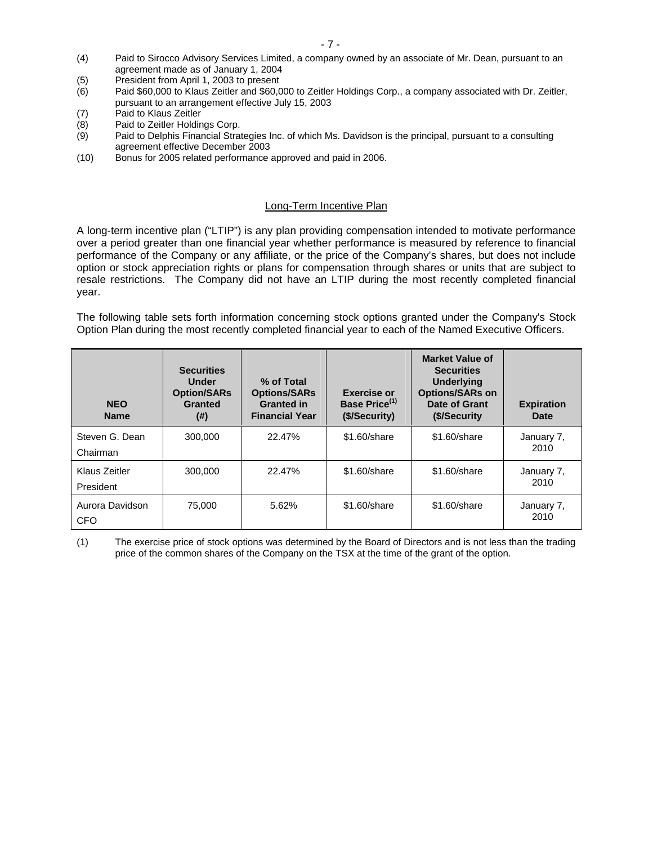- (4) Paid to Sirocco Advisory Services Limited, a company owned by an associate of Mr. Dean, pursuant to an agreement made as of January 1, 2004
- (5) President from April 1, 2003 to present
- (6) Paid \$60,000 to Klaus Zeitler and \$60,000 to Zeitler Holdings Corp., a company associated with Dr. Zeitler, pursuant to an arrangement effective July 15, 2003
- (7) Paid to Klaus Zeitler
- (8) Paid to Zeitler Holdings Corp.
- (9) Paid to Delphis Financial Strategies Inc. of which Ms. Davidson is the principal, pursuant to a consulting agreement effective December 2003
- (10) Bonus for 2005 related performance approved and paid in 2006.

#### Long-Term Incentive Plan

A long-term incentive plan ("LTIP") is any plan providing compensation intended to motivate performance over a period greater than one financial year whether performance is measured by reference to financial performance of the Company or any affiliate, or the price of the Company's shares, but does not include option or stock appreciation rights or plans for compensation through shares or units that are subject to resale restrictions. The Company did not have an LTIP during the most recently completed financial year.

The following table sets forth information concerning stock options granted under the Company's Stock Option Plan during the most recently completed financial year to each of the Named Executive Officers.

| <b>NEO</b><br><b>Name</b>     | <b>Securities</b><br>Under<br><b>Option/SARs</b><br><b>Granted</b><br>(# ) | % of Total<br><b>Options/SARs</b><br><b>Granted in</b><br><b>Financial Year</b> | <b>Exercise or</b><br>Base Price <sup>(1)</sup><br>(\$/Security) | <b>Market Value of</b><br><b>Securities</b><br><b>Underlying</b><br><b>Options/SARs on</b><br>Date of Grant<br>(\$/Security) | <b>Expiration</b><br><b>Date</b> |
|-------------------------------|----------------------------------------------------------------------------|---------------------------------------------------------------------------------|------------------------------------------------------------------|------------------------------------------------------------------------------------------------------------------------------|----------------------------------|
| Steven G. Dean<br>Chairman    | 300,000                                                                    | 22.47%                                                                          | \$1.60/share                                                     | \$1,60/share                                                                                                                 | January 7,<br>2010               |
| Klaus Zeitler<br>President    | 300,000                                                                    | 22.47%                                                                          | \$1.60/share                                                     | \$1,60/share                                                                                                                 | January 7,<br>2010               |
| Aurora Davidson<br><b>CFO</b> | 75.000                                                                     | 5.62%                                                                           | \$1.60/share                                                     | \$1,60/share                                                                                                                 | January 7,<br>2010               |

(1) The exercise price of stock options was determined by the Board of Directors and is not less than the trading price of the common shares of the Company on the TSX at the time of the grant of the option.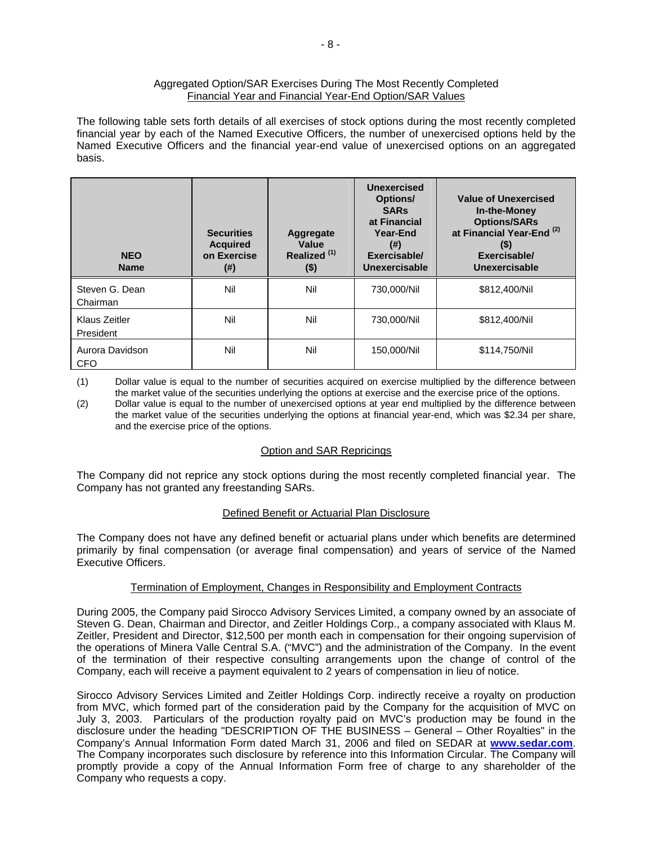#### Aggregated Option/SAR Exercises During The Most Recently Completed Financial Year and Financial Year-End Option/SAR Values

The following table sets forth details of all exercises of stock options during the most recently completed financial year by each of the Named Executive Officers, the number of unexercised options held by the Named Executive Officers and the financial year-end value of unexercised options on an aggregated basis.

| <b>NEO</b><br><b>Name</b>     | <b>Securities</b><br><b>Acquired</b><br>on Exercise<br>$^{(#)}$ | Aggregate<br>Value<br>Realized <sup>(1)</sup><br>$($ \$) | <b>Unexercised</b><br>Options/<br><b>SARs</b><br>at Financial<br>Year-End<br>(# )<br>Exercisable/<br>Unexercisable | Value of Unexercised<br><b>In-the-Money</b><br><b>Options/SARs</b><br>at Financial Year-End <sup>(2)</sup><br>$($ \$)<br>Exercisable/<br><b>Unexercisable</b> |
|-------------------------------|-----------------------------------------------------------------|----------------------------------------------------------|--------------------------------------------------------------------------------------------------------------------|---------------------------------------------------------------------------------------------------------------------------------------------------------------|
| Steven G. Dean<br>Chairman    | Nil                                                             | Nil                                                      | 730,000/Nil                                                                                                        | \$812,400/Nil                                                                                                                                                 |
| Klaus Zeitler<br>President    | Nil                                                             | Nil                                                      | 730,000/Nil                                                                                                        | \$812,400/Nil                                                                                                                                                 |
| Aurora Davidson<br><b>CFO</b> | Nil                                                             | Nil                                                      | 150,000/Nil                                                                                                        | \$114,750/Nil                                                                                                                                                 |

(1) Dollar value is equal to the number of securities acquired on exercise multiplied by the difference between the market value of the securities underlying the options at exercise and the exercise price of the options.

(2) Dollar value is equal to the number of unexercised options at year end multiplied by the difference between the market value of the securities underlying the options at financial year-end, which was \$2.34 per share, and the exercise price of the options.

#### Option and SAR Repricings

The Company did not reprice any stock options during the most recently completed financial year. The Company has not granted any freestanding SARs.

#### Defined Benefit or Actuarial Plan Disclosure

The Company does not have any defined benefit or actuarial plans under which benefits are determined primarily by final compensation (or average final compensation) and years of service of the Named Executive Officers.

#### Termination of Employment, Changes in Responsibility and Employment Contracts

During 2005, the Company paid Sirocco Advisory Services Limited, a company owned by an associate of Steven G. Dean, Chairman and Director, and Zeitler Holdings Corp., a company associated with Klaus M. Zeitler, President and Director, \$12,500 per month each in compensation for their ongoing supervision of the operations of Minera Valle Central S.A. ("MVC") and the administration of the Company. In the event of the termination of their respective consulting arrangements upon the change of control of the Company, each will receive a payment equivalent to 2 years of compensation in lieu of notice.

Sirocco Advisory Services Limited and Zeitler Holdings Corp. indirectly receive a royalty on production from MVC, which formed part of the consideration paid by the Company for the acquisition of MVC on July 3, 2003. Particulars of the production royalty paid on MVC's production may be found in the disclosure under the heading "DESCRIPTION OF THE BUSINESS – General – Other Royalties" in the Company's Annual Information Form dated March 31, 2006 and filed on SEDAR at **www.sedar.com**. The Company incorporates such disclosure by reference into this Information Circular. The Company will promptly provide a copy of the Annual Information Form free of charge to any shareholder of the Company who requests a copy.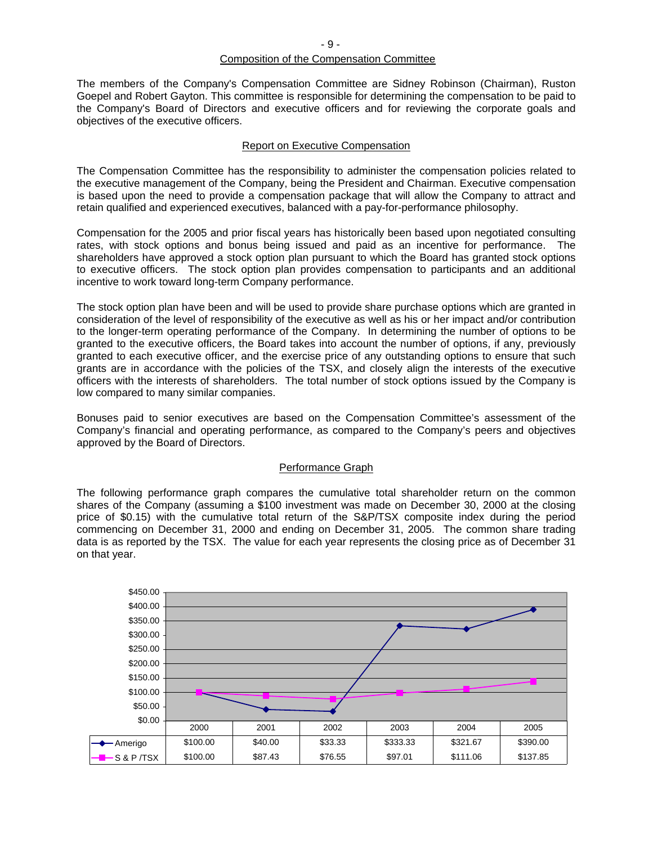# Composition of the Compensation Committee

The members of the Company's Compensation Committee are Sidney Robinson (Chairman), Ruston Goepel and Robert Gayton. This committee is responsible for determining the compensation to be paid to the Company's Board of Directors and executive officers and for reviewing the corporate goals and objectives of the executive officers.

#### Report on Executive Compensation

The Compensation Committee has the responsibility to administer the compensation policies related to the executive management of the Company, being the President and Chairman. Executive compensation is based upon the need to provide a compensation package that will allow the Company to attract and retain qualified and experienced executives, balanced with a pay-for-performance philosophy.

Compensation for the 2005 and prior fiscal years has historically been based upon negotiated consulting rates, with stock options and bonus being issued and paid as an incentive for performance. The shareholders have approved a stock option plan pursuant to which the Board has granted stock options to executive officers. The stock option plan provides compensation to participants and an additional incentive to work toward long-term Company performance.

The stock option plan have been and will be used to provide share purchase options which are granted in consideration of the level of responsibility of the executive as well as his or her impact and/or contribution to the longer-term operating performance of the Company. In determining the number of options to be granted to the executive officers, the Board takes into account the number of options, if any, previously granted to each executive officer, and the exercise price of any outstanding options to ensure that such grants are in accordance with the policies of the TSX, and closely align the interests of the executive officers with the interests of shareholders. The total number of stock options issued by the Company is low compared to many similar companies.

Bonuses paid to senior executives are based on the Compensation Committee's assessment of the Company's financial and operating performance, as compared to the Company's peers and objectives approved by the Board of Directors.

#### Performance Graph

The following performance graph compares the cumulative total shareholder return on the common shares of the Company (assuming a \$100 investment was made on December 30, 2000 at the closing price of \$0.15) with the cumulative total return of the S&P/TSX composite index during the period commencing on December 31, 2000 and ending on December 31, 2005. The common share trading data is as reported by the TSX. The value for each year represents the closing price as of December 31 on that year.

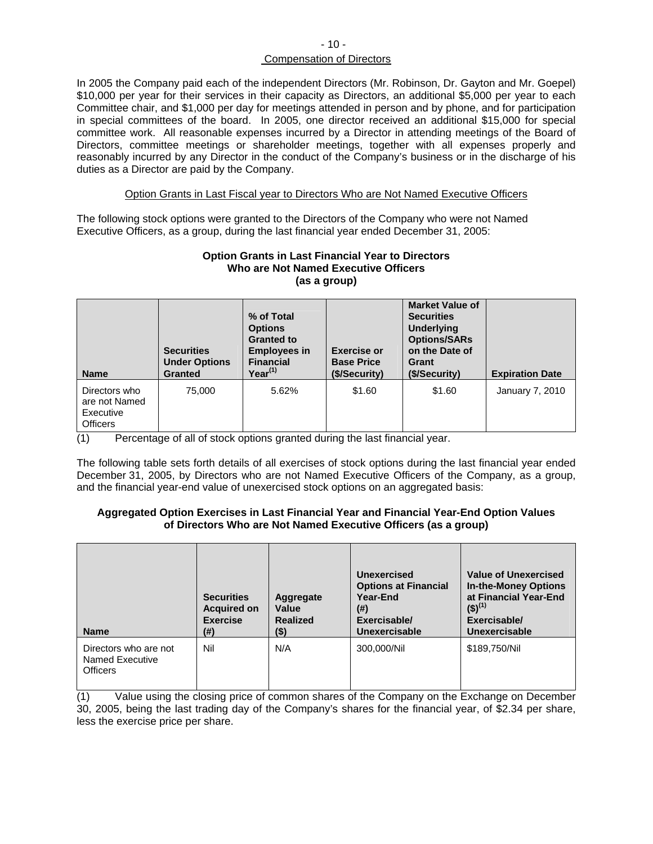#### $-10-$ Compensation of Directors

In 2005 the Company paid each of the independent Directors (Mr. Robinson, Dr. Gayton and Mr. Goepel) \$10,000 per year for their services in their capacity as Directors, an additional \$5,000 per year to each Committee chair, and \$1,000 per day for meetings attended in person and by phone, and for participation in special committees of the board. In 2005, one director received an additional \$15,000 for special committee work. All reasonable expenses incurred by a Director in attending meetings of the Board of Directors, committee meetings or shareholder meetings, together with all expenses properly and reasonably incurred by any Director in the conduct of the Company's business or in the discharge of his duties as a Director are paid by the Company.

#### Option Grants in Last Fiscal year to Directors Who are Not Named Executive Officers

The following stock options were granted to the Directors of the Company who were not Named Executive Officers, as a group, during the last financial year ended December 31, 2005:

#### **Option Grants in Last Financial Year to Directors Who are Not Named Executive Officers (as a group)**

| <b>Name</b>                                                    | <b>Securities</b><br><b>Under Options</b><br><b>Granted</b> | % of Total<br><b>Options</b><br><b>Granted to</b><br><b>Employees in</b><br><b>Financial</b><br>$Year^{(1)}$ | <b>Exercise or</b><br><b>Base Price</b><br>(\$/Security) | <b>Market Value of</b><br><b>Securities</b><br><b>Underlying</b><br><b>Options/SARs</b><br>on the Date of<br>Grant<br>(\$/Security) | <b>Expiration Date</b> |
|----------------------------------------------------------------|-------------------------------------------------------------|--------------------------------------------------------------------------------------------------------------|----------------------------------------------------------|-------------------------------------------------------------------------------------------------------------------------------------|------------------------|
| Directors who<br>are not Named<br>Executive<br><b>Officers</b> | 75,000                                                      | 5.62%                                                                                                        | \$1.60                                                   | \$1.60                                                                                                                              | January 7, 2010        |

(1) Percentage of all of stock options granted during the last financial year.

The following table sets forth details of all exercises of stock options during the last financial year ended December 31, 2005, by Directors who are not Named Executive Officers of the Company, as a group, and the financial year-end value of unexercised stock options on an aggregated basis:

#### **Aggregated Option Exercises in Last Financial Year and Financial Year-End Option Values of Directors Who are Not Named Executive Officers (as a group)**

| <b>Name</b>                                                 | <b>Securities</b><br><b>Acquired on</b><br><b>Exercise</b><br>(#) | Aggregate<br>Value<br><b>Realized</b><br>(\$) | Unexercised<br><b>Options at Financial</b><br>Year-End<br>(#)<br>Exercisable/<br><b>Unexercisable</b> | <b>Value of Unexercised</b><br><b>In-the-Money Options</b><br>at Financial Year-End<br>$(5)^{(1)}$<br>Exercisable/<br><b>Unexercisable</b> |
|-------------------------------------------------------------|-------------------------------------------------------------------|-----------------------------------------------|-------------------------------------------------------------------------------------------------------|--------------------------------------------------------------------------------------------------------------------------------------------|
| Directors who are not<br>Named Executive<br><b>Officers</b> | Nil                                                               | N/A                                           | 300.000/Nil                                                                                           | \$189,750/Nil                                                                                                                              |

(1) Value using the closing price of common shares of the Company on the Exchange on December 30, 2005, being the last trading day of the Company's shares for the financial year, of \$2.34 per share, less the exercise price per share.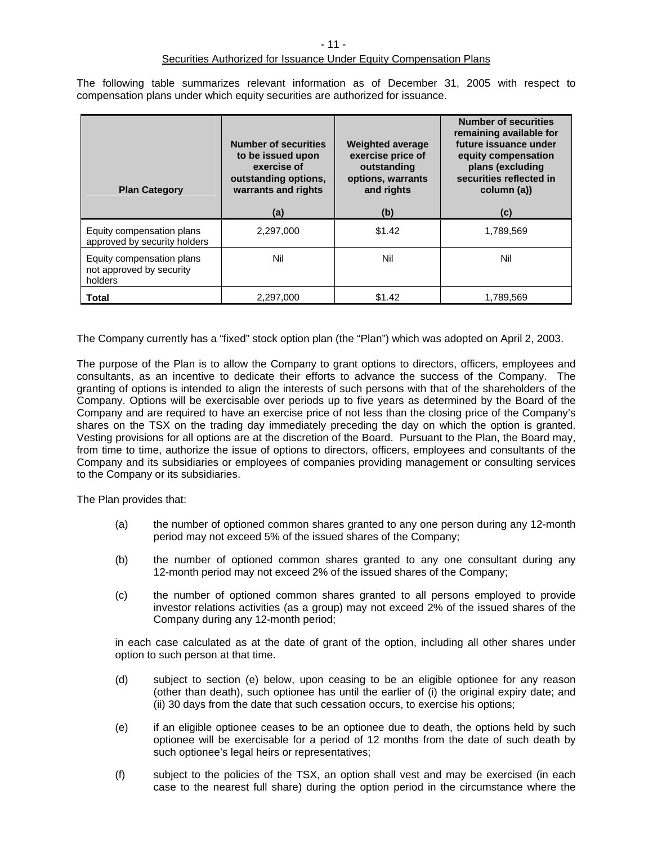The following table summarizes relevant information as of December 31, 2005 with respect to compensation plans under which equity securities are authorized for issuance.

| <b>Plan Category</b>                                             | <b>Number of securities</b><br>to be issued upon<br>exercise of<br>outstanding options,<br>warrants and rights<br>(a) | <b>Weighted average</b><br>exercise price of<br>outstanding<br>options, warrants<br>and rights<br>(b) | <b>Number of securities</b><br>remaining available for<br>future issuance under<br>equity compensation<br>plans (excluding<br>securities reflected in<br>column (a))<br>(c) |
|------------------------------------------------------------------|-----------------------------------------------------------------------------------------------------------------------|-------------------------------------------------------------------------------------------------------|-----------------------------------------------------------------------------------------------------------------------------------------------------------------------------|
| Equity compensation plans<br>approved by security holders        | 2,297,000                                                                                                             | \$1.42                                                                                                | 1,789,569                                                                                                                                                                   |
| Equity compensation plans<br>not approved by security<br>holders | Nil                                                                                                                   | Nil                                                                                                   | Nil                                                                                                                                                                         |
| <b>Total</b>                                                     | 2.297.000                                                                                                             | \$1.42                                                                                                | 1.789.569                                                                                                                                                                   |

The Company currently has a "fixed" stock option plan (the "Plan") which was adopted on April 2, 2003.

The purpose of the Plan is to allow the Company to grant options to directors, officers, employees and consultants, as an incentive to dedicate their efforts to advance the success of the Company. The granting of options is intended to align the interests of such persons with that of the shareholders of the Company. Options will be exercisable over periods up to five years as determined by the Board of the Company and are required to have an exercise price of not less than the closing price of the Company's shares on the TSX on the trading day immediately preceding the day on which the option is granted. Vesting provisions for all options are at the discretion of the Board. Pursuant to the Plan, the Board may, from time to time, authorize the issue of options to directors, officers, employees and consultants of the Company and its subsidiaries or employees of companies providing management or consulting services to the Company or its subsidiaries.

The Plan provides that:

- (a) the number of optioned common shares granted to any one person during any 12-month period may not exceed 5% of the issued shares of the Company;
- (b) the number of optioned common shares granted to any one consultant during any 12-month period may not exceed 2% of the issued shares of the Company;
- (c) the number of optioned common shares granted to all persons employed to provide investor relations activities (as a group) may not exceed 2% of the issued shares of the Company during any 12-month period;

in each case calculated as at the date of grant of the option, including all other shares under option to such person at that time.

- (d) subject to section (e) below, upon ceasing to be an eligible optionee for any reason (other than death), such optionee has until the earlier of (i) the original expiry date; and (ii) 30 days from the date that such cessation occurs, to exercise his options;
- (e) if an eligible optionee ceases to be an optionee due to death, the options held by such optionee will be exercisable for a period of 12 months from the date of such death by such optionee's legal heirs or representatives;
- (f) subject to the policies of the TSX, an option shall vest and may be exercised (in each case to the nearest full share) during the option period in the circumstance where the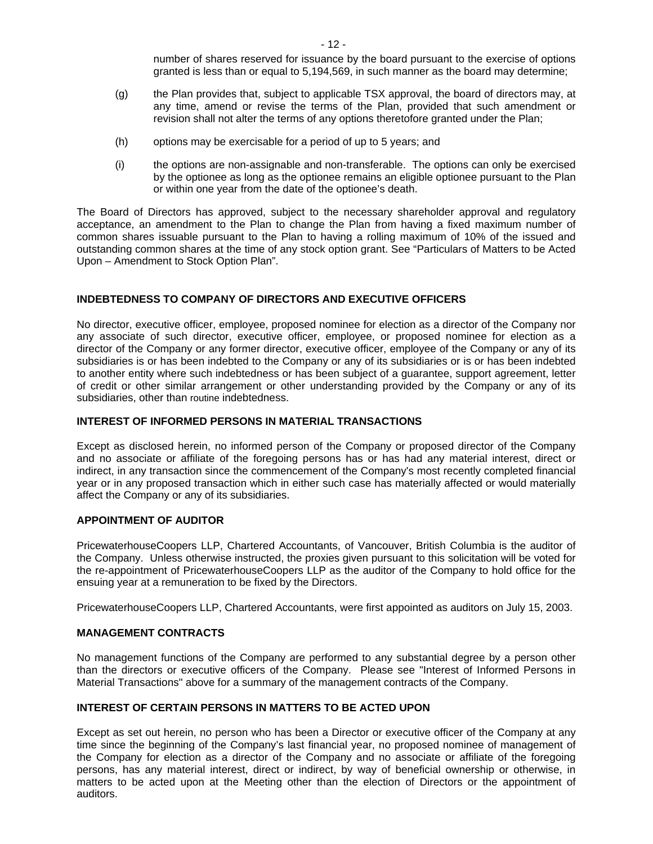number of shares reserved for issuance by the board pursuant to the exercise of options granted is less than or equal to 5,194,569, in such manner as the board may determine;

- (g) the Plan provides that, subject to applicable TSX approval, the board of directors may, at any time, amend or revise the terms of the Plan, provided that such amendment or revision shall not alter the terms of any options theretofore granted under the Plan;
- (h) options may be exercisable for a period of up to 5 years; and
- (i) the options are non-assignable and non-transferable. The options can only be exercised by the optionee as long as the optionee remains an eligible optionee pursuant to the Plan or within one year from the date of the optionee's death.

The Board of Directors has approved, subject to the necessary shareholder approval and regulatory acceptance, an amendment to the Plan to change the Plan from having a fixed maximum number of common shares issuable pursuant to the Plan to having a rolling maximum of 10% of the issued and outstanding common shares at the time of any stock option grant. See "Particulars of Matters to be Acted Upon – Amendment to Stock Option Plan".

#### **INDEBTEDNESS TO COMPANY OF DIRECTORS AND EXECUTIVE OFFICERS**

No director, executive officer, employee, proposed nominee for election as a director of the Company nor any associate of such director, executive officer, employee, or proposed nominee for election as a director of the Company or any former director, executive officer, employee of the Company or any of its subsidiaries is or has been indebted to the Company or any of its subsidiaries or is or has been indebted to another entity where such indebtedness or has been subject of a guarantee, support agreement, letter of credit or other similar arrangement or other understanding provided by the Company or any of its subsidiaries, other than routine indebtedness.

#### **INTEREST OF INFORMED PERSONS IN MATERIAL TRANSACTIONS**

Except as disclosed herein, no informed person of the Company or proposed director of the Company and no associate or affiliate of the foregoing persons has or has had any material interest, direct or indirect, in any transaction since the commencement of the Company's most recently completed financial year or in any proposed transaction which in either such case has materially affected or would materially affect the Company or any of its subsidiaries.

#### **APPOINTMENT OF AUDITOR**

PricewaterhouseCoopers LLP, Chartered Accountants, of Vancouver, British Columbia is the auditor of the Company. Unless otherwise instructed, the proxies given pursuant to this solicitation will be voted for the re-appointment of PricewaterhouseCoopers LLP as the auditor of the Company to hold office for the ensuing year at a remuneration to be fixed by the Directors.

PricewaterhouseCoopers LLP, Chartered Accountants, were first appointed as auditors on July 15, 2003.

#### **MANAGEMENT CONTRACTS**

No management functions of the Company are performed to any substantial degree by a person other than the directors or executive officers of the Company. Please see "Interest of Informed Persons in Material Transactions" above for a summary of the management contracts of the Company.

#### **INTEREST OF CERTAIN PERSONS IN MATTERS TO BE ACTED UPON**

Except as set out herein, no person who has been a Director or executive officer of the Company at any time since the beginning of the Company's last financial year, no proposed nominee of management of the Company for election as a director of the Company and no associate or affiliate of the foregoing persons, has any material interest, direct or indirect, by way of beneficial ownership or otherwise, in matters to be acted upon at the Meeting other than the election of Directors or the appointment of auditors.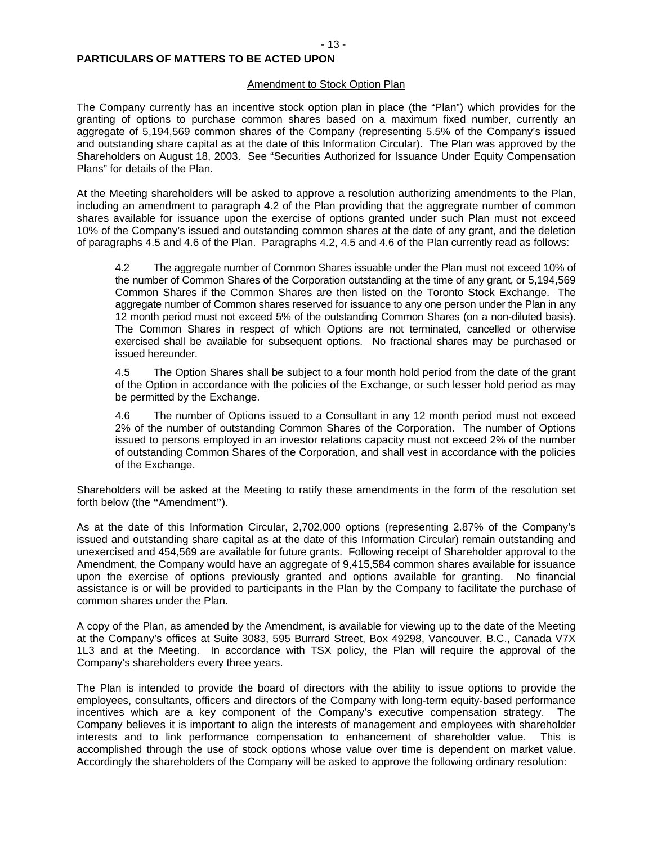#### Amendment to Stock Option Plan

The Company currently has an incentive stock option plan in place (the "Plan") which provides for the granting of options to purchase common shares based on a maximum fixed number, currently an aggregate of 5,194,569 common shares of the Company (representing 5.5% of the Company's issued and outstanding share capital as at the date of this Information Circular). The Plan was approved by the Shareholders on August 18, 2003. See "Securities Authorized for Issuance Under Equity Compensation Plans" for details of the Plan.

At the Meeting shareholders will be asked to approve a resolution authorizing amendments to the Plan, including an amendment to paragraph 4.2 of the Plan providing that the aggregrate number of common shares available for issuance upon the exercise of options granted under such Plan must not exceed 10% of the Company's issued and outstanding common shares at the date of any grant, and the deletion of paragraphs 4.5 and 4.6 of the Plan. Paragraphs 4.2, 4.5 and 4.6 of the Plan currently read as follows:

4.2 The aggregate number of Common Shares issuable under the Plan must not exceed 10% of the number of Common Shares of the Corporation outstanding at the time of any grant, or 5,194,569 Common Shares if the Common Shares are then listed on the Toronto Stock Exchange. The aggregate number of Common shares reserved for issuance to any one person under the Plan in any 12 month period must not exceed 5% of the outstanding Common Shares (on a non-diluted basis). The Common Shares in respect of which Options are not terminated, cancelled or otherwise exercised shall be available for subsequent options. No fractional shares may be purchased or issued hereunder.

4.5 The Option Shares shall be subject to a four month hold period from the date of the grant of the Option in accordance with the policies of the Exchange, or such lesser hold period as may be permitted by the Exchange.

4.6 The number of Options issued to a Consultant in any 12 month period must not exceed 2% of the number of outstanding Common Shares of the Corporation. The number of Options issued to persons employed in an investor relations capacity must not exceed 2% of the number of outstanding Common Shares of the Corporation, and shall vest in accordance with the policies of the Exchange.

Shareholders will be asked at the Meeting to ratify these amendments in the form of the resolution set forth below (the **"**Amendment**"**).

As at the date of this Information Circular, 2,702,000 options (representing 2.87% of the Company's issued and outstanding share capital as at the date of this Information Circular) remain outstanding and unexercised and 454,569 are available for future grants. Following receipt of Shareholder approval to the Amendment, the Company would have an aggregate of 9,415,584 common shares available for issuance upon the exercise of options previously granted and options available for granting. No financial assistance is or will be provided to participants in the Plan by the Company to facilitate the purchase of common shares under the Plan.

A copy of the Plan, as amended by the Amendment, is available for viewing up to the date of the Meeting at the Company's offices at Suite 3083, 595 Burrard Street, Box 49298, Vancouver, B.C., Canada V7X 1L3 and at the Meeting. In accordance with TSX policy, the Plan will require the approval of the Company's shareholders every three years.

The Plan is intended to provide the board of directors with the ability to issue options to provide the employees, consultants, officers and directors of the Company with long-term equity-based performance incentives which are a key component of the Company's executive compensation strategy. The Company believes it is important to align the interests of management and employees with shareholder interests and to link performance compensation to enhancement of shareholder value. This is accomplished through the use of stock options whose value over time is dependent on market value. Accordingly the shareholders of the Company will be asked to approve the following ordinary resolution: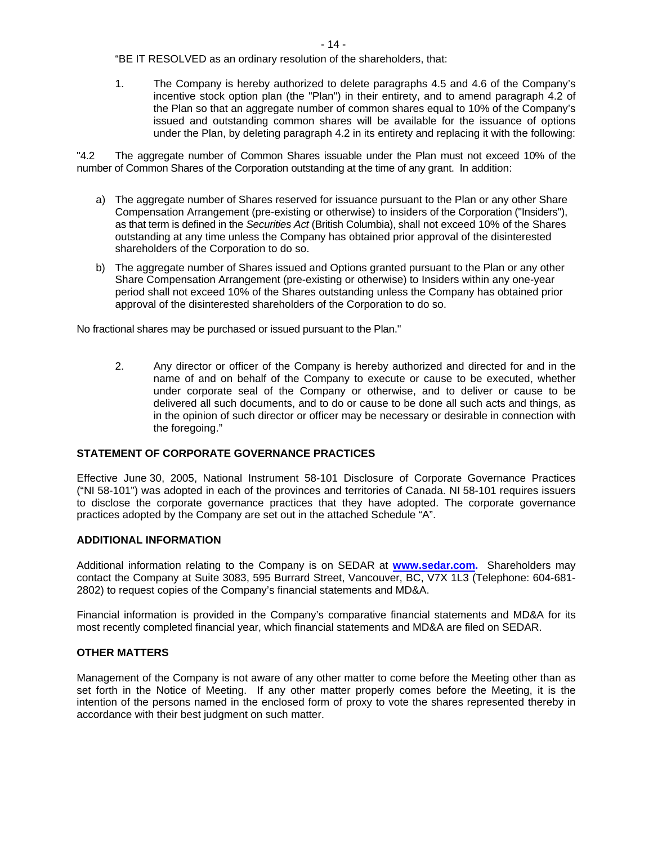"BE IT RESOLVED as an ordinary resolution of the shareholders, that:

1. The Company is hereby authorized to delete paragraphs 4.5 and 4.6 of the Company's incentive stock option plan (the "Plan") in their entirety, and to amend paragraph 4.2 of the Plan so that an aggregate number of common shares equal to 10% of the Company's issued and outstanding common shares will be available for the issuance of options under the Plan, by deleting paragraph 4.2 in its entirety and replacing it with the following:

"4.2 The aggregate number of Common Shares issuable under the Plan must not exceed 10% of the number of Common Shares of the Corporation outstanding at the time of any grant. In addition:

- a) The aggregate number of Shares reserved for issuance pursuant to the Plan or any other Share Compensation Arrangement (pre-existing or otherwise) to insiders of the Corporation ("Insiders"), as that term is defined in the *Securities Act* (British Columbia), shall not exceed 10% of the Shares outstanding at any time unless the Company has obtained prior approval of the disinterested shareholders of the Corporation to do so.
- b) The aggregate number of Shares issued and Options granted pursuant to the Plan or any other Share Compensation Arrangement (pre-existing or otherwise) to Insiders within any one-year period shall not exceed 10% of the Shares outstanding unless the Company has obtained prior approval of the disinterested shareholders of the Corporation to do so.

No fractional shares may be purchased or issued pursuant to the Plan."

2. Any director or officer of the Company is hereby authorized and directed for and in the name of and on behalf of the Company to execute or cause to be executed, whether under corporate seal of the Company or otherwise, and to deliver or cause to be delivered all such documents, and to do or cause to be done all such acts and things, as in the opinion of such director or officer may be necessary or desirable in connection with the foregoing."

#### **STATEMENT OF CORPORATE GOVERNANCE PRACTICES**

Effective June 30, 2005, National Instrument 58-101 Disclosure of Corporate Governance Practices ("NI 58-101") was adopted in each of the provinces and territories of Canada. NI 58-101 requires issuers to disclose the corporate governance practices that they have adopted. The corporate governance practices adopted by the Company are set out in the attached Schedule "A".

#### **ADDITIONAL INFORMATION**

Additional information relating to the Company is on SEDAR at **www.sedar.com.** Shareholders may contact the Company at Suite 3083, 595 Burrard Street, Vancouver, BC, V7X 1L3 (Telephone: 604-681- 2802) to request copies of the Company's financial statements and MD&A.

Financial information is provided in the Company's comparative financial statements and MD&A for its most recently completed financial year, which financial statements and MD&A are filed on SEDAR.

#### **OTHER MATTERS**

Management of the Company is not aware of any other matter to come before the Meeting other than as set forth in the Notice of Meeting. If any other matter properly comes before the Meeting, it is the intention of the persons named in the enclosed form of proxy to vote the shares represented thereby in accordance with their best judgment on such matter.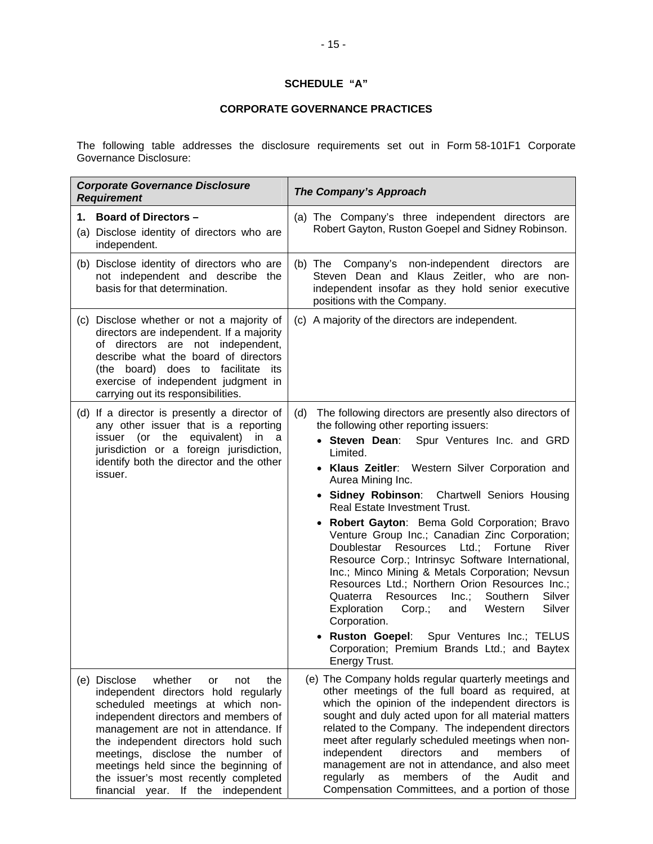## **SCHEDULE "A"**

#### **CORPORATE GOVERNANCE PRACTICES**

The following table addresses the disclosure requirements set out in Form 58-101F1 Corporate Governance Disclosure:

| <b>Corporate Governance Disclosure</b><br><b>Requirement</b>                                                                                                                                                                                                                                                                                                                                             | <b>The Company's Approach</b>                                                                                                                                                                                                                                                                                                                                                                                                                                                                                                                                                                                                                                                                                                                                                                                                                                                                                  |
|----------------------------------------------------------------------------------------------------------------------------------------------------------------------------------------------------------------------------------------------------------------------------------------------------------------------------------------------------------------------------------------------------------|----------------------------------------------------------------------------------------------------------------------------------------------------------------------------------------------------------------------------------------------------------------------------------------------------------------------------------------------------------------------------------------------------------------------------------------------------------------------------------------------------------------------------------------------------------------------------------------------------------------------------------------------------------------------------------------------------------------------------------------------------------------------------------------------------------------------------------------------------------------------------------------------------------------|
| 1. Board of Directors -<br>(a) Disclose identity of directors who are<br>independent.                                                                                                                                                                                                                                                                                                                    | (a) The Company's three independent directors are<br>Robert Gayton, Ruston Goepel and Sidney Robinson.                                                                                                                                                                                                                                                                                                                                                                                                                                                                                                                                                                                                                                                                                                                                                                                                         |
| (b) Disclose identity of directors who are<br>not independent and describe the<br>basis for that determination.                                                                                                                                                                                                                                                                                          | (b) The Company's non-independent directors<br>are<br>Steven Dean and Klaus Zeitler, who are non-<br>independent insofar as they hold senior executive<br>positions with the Company.                                                                                                                                                                                                                                                                                                                                                                                                                                                                                                                                                                                                                                                                                                                          |
| (c) Disclose whether or not a majority of<br>directors are independent. If a majority<br>of directors are not independent,<br>describe what the board of directors<br>(the board) does to facilitate its<br>exercise of independent judgment in<br>carrying out its responsibilities.                                                                                                                    | (c) A majority of the directors are independent.                                                                                                                                                                                                                                                                                                                                                                                                                                                                                                                                                                                                                                                                                                                                                                                                                                                               |
| (d) If a director is presently a director of<br>any other issuer that is a reporting<br>issuer (or the<br>equivalent)<br>in<br>- a<br>jurisdiction or a foreign jurisdiction,<br>identify both the director and the other<br>issuer.                                                                                                                                                                     | The following directors are presently also directors of<br>(d)<br>the following other reporting issuers:<br>• Steven Dean:<br>Spur Ventures Inc. and GRD<br>Limited.<br>• Klaus Zeitler: Western Silver Corporation and<br>Aurea Mining Inc.<br>• Sidney Robinson: Chartwell Seniors Housing<br><b>Real Estate Investment Trust.</b><br>Robert Gayton: Bema Gold Corporation; Bravo<br>Venture Group Inc.; Canadian Zinc Corporation;<br>Fortune<br>Resources<br>Ltd.;<br>Doublestar<br>River<br>Resource Corp.; Intrinsyc Software International,<br>Inc.; Minco Mining & Metals Corporation; Nevsun<br>Resources Ltd.; Northern Orion Resources Inc.;<br>Resources<br>Inc.;<br>Southern<br>Silver<br>Quaterra<br>Exploration<br>Silver<br>$Corp.$ ;<br>Western<br>and<br>Corporation.<br><b>Ruston Goepel:</b><br>Spur Ventures Inc.; TELUS<br>Corporation; Premium Brands Ltd.; and Baytex<br>Energy Trust. |
| (e) Disclose<br>whether<br>the<br>or<br>not<br>independent directors hold regularly<br>scheduled meetings at which non-<br>independent directors and members of<br>management are not in attendance. If<br>the independent directors hold such<br>meetings, disclose the number of<br>meetings held since the beginning of<br>the issuer's most recently completed<br>financial year. If the independent | (e) The Company holds regular quarterly meetings and<br>other meetings of the full board as required, at<br>which the opinion of the independent directors is<br>sought and duly acted upon for all material matters<br>related to the Company. The independent directors<br>meet after regularly scheduled meetings when non-<br>independent<br>directors<br>and<br>members<br>οf<br>management are not in attendance, and also meet<br>regularly<br>members<br>of the<br>Audit<br>as<br>and<br>Compensation Committees, and a portion of those                                                                                                                                                                                                                                                                                                                                                               |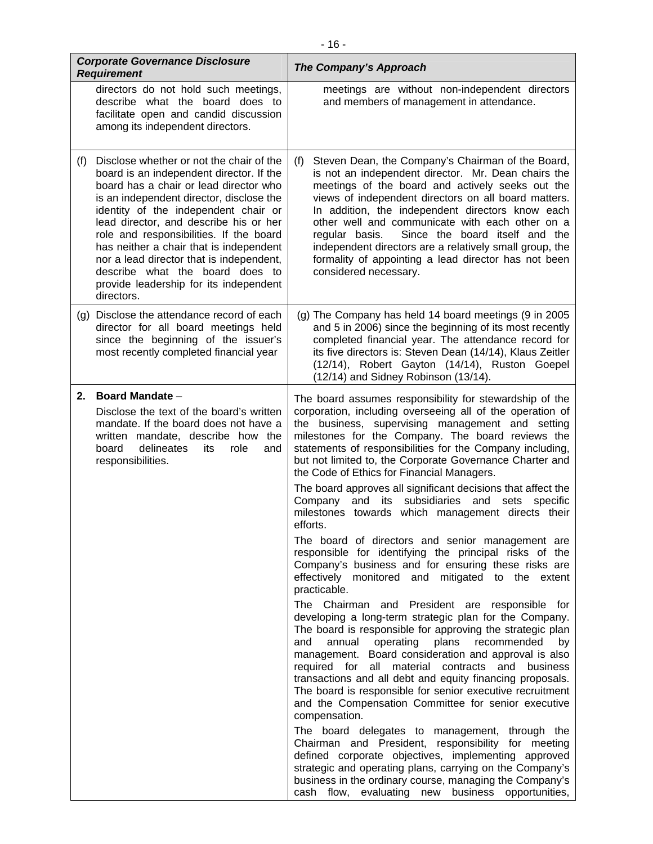|     | <b>Corporate Governance Disclosure</b><br><b>Requirement</b>                                                                                                                                                                                                                                                                                                                                                                                                                              | The Company's Approach                                                                                                                                                                                                                                                                                                                                                                                                                                                                                                                       |
|-----|-------------------------------------------------------------------------------------------------------------------------------------------------------------------------------------------------------------------------------------------------------------------------------------------------------------------------------------------------------------------------------------------------------------------------------------------------------------------------------------------|----------------------------------------------------------------------------------------------------------------------------------------------------------------------------------------------------------------------------------------------------------------------------------------------------------------------------------------------------------------------------------------------------------------------------------------------------------------------------------------------------------------------------------------------|
|     | directors do not hold such meetings,<br>describe what the board does to<br>facilitate open and candid discussion<br>among its independent directors.                                                                                                                                                                                                                                                                                                                                      | meetings are without non-independent directors<br>and members of management in attendance.                                                                                                                                                                                                                                                                                                                                                                                                                                                   |
| (f) | Disclose whether or not the chair of the<br>board is an independent director. If the<br>board has a chair or lead director who<br>is an independent director, disclose the<br>identity of the independent chair or<br>lead director, and describe his or her<br>role and responsibilities. If the board<br>has neither a chair that is independent<br>nor a lead director that is independent,<br>describe what the board does to<br>provide leadership for its independent<br>directors. | Steven Dean, the Company's Chairman of the Board,<br>(f)<br>is not an independent director. Mr. Dean chairs the<br>meetings of the board and actively seeks out the<br>views of independent directors on all board matters.<br>In addition, the independent directors know each<br>other well and communicate with each other on a<br>regular basis.<br>Since the board itself and the<br>independent directors are a relatively small group, the<br>formality of appointing a lead director has not been<br>considered necessary.           |
|     | (g) Disclose the attendance record of each<br>director for all board meetings held<br>since the beginning of the issuer's<br>most recently completed financial year                                                                                                                                                                                                                                                                                                                       | (g) The Company has held 14 board meetings (9 in 2005<br>and 5 in 2006) since the beginning of its most recently<br>completed financial year. The attendance record for<br>its five directors is: Steven Dean (14/14), Klaus Zeitler<br>(12/14), Robert Gayton (14/14), Ruston Goepel<br>(12/14) and Sidney Robinson (13/14).                                                                                                                                                                                                                |
| 2.  | <b>Board Mandate -</b><br>Disclose the text of the board's written<br>mandate. If the board does not have a<br>written mandate, describe how the<br>delineates<br>board<br>its<br>role<br>and<br>responsibilities.                                                                                                                                                                                                                                                                        | The board assumes responsibility for stewardship of the<br>corporation, including overseeing all of the operation of<br>the business, supervising management and setting<br>milestones for the Company. The board reviews the<br>statements of responsibilities for the Company including,<br>but not limited to, the Corporate Governance Charter and<br>the Code of Ethics for Financial Managers.                                                                                                                                         |
|     |                                                                                                                                                                                                                                                                                                                                                                                                                                                                                           | The board approves all significant decisions that affect the<br>and its subsidiaries and<br>Company<br>specific<br>sets<br>milestones towards which management directs their<br>efforts.                                                                                                                                                                                                                                                                                                                                                     |
|     |                                                                                                                                                                                                                                                                                                                                                                                                                                                                                           | The board of directors and senior management are<br>responsible for identifying the principal risks of the<br>Company's business and for ensuring these risks are<br>effectively monitored and mitigated to the extent<br>practicable.                                                                                                                                                                                                                                                                                                       |
|     |                                                                                                                                                                                                                                                                                                                                                                                                                                                                                           | The Chairman and President are responsible for<br>developing a long-term strategic plan for the Company.<br>The board is responsible for approving the strategic plan<br>annual operating<br>plans<br>recommended<br>and<br>by<br>management. Board consideration and approval is also<br>required for all material contracts and business<br>transactions and all debt and equity financing proposals.<br>The board is responsible for senior executive recruitment<br>and the Compensation Committee for senior executive<br>compensation. |
|     |                                                                                                                                                                                                                                                                                                                                                                                                                                                                                           | The board delegates to management, through the<br>Chairman and President, responsibility for meeting<br>defined corporate objectives, implementing approved<br>strategic and operating plans, carrying on the Company's<br>business in the ordinary course, managing the Company's<br>cash flow, evaluating new business opportunities,                                                                                                                                                                                                      |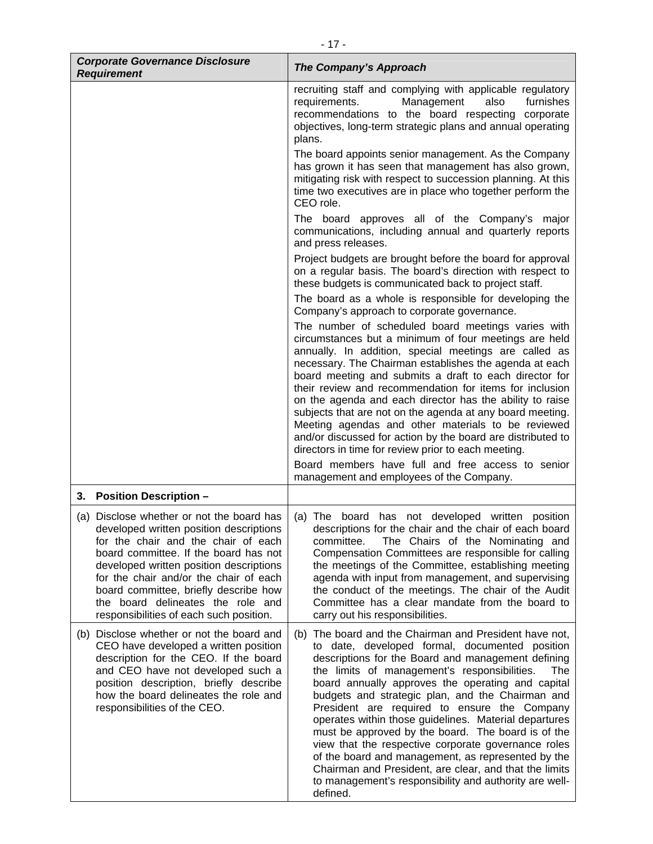| <b>Corporate Governance Disclosure</b><br><b>Requirement</b>                                                                                                                                                                                                                                                                                                                       | <b>The Company's Approach</b>                                                                                                                                                                                                                                                                                                                                                                                                                                                                                                                                                                                                                                                                                                                             |
|------------------------------------------------------------------------------------------------------------------------------------------------------------------------------------------------------------------------------------------------------------------------------------------------------------------------------------------------------------------------------------|-----------------------------------------------------------------------------------------------------------------------------------------------------------------------------------------------------------------------------------------------------------------------------------------------------------------------------------------------------------------------------------------------------------------------------------------------------------------------------------------------------------------------------------------------------------------------------------------------------------------------------------------------------------------------------------------------------------------------------------------------------------|
|                                                                                                                                                                                                                                                                                                                                                                                    | recruiting staff and complying with applicable regulatory<br>requirements.<br>Management<br>also<br>furnishes<br>recommendations to the board respecting corporate<br>objectives, long-term strategic plans and annual operating<br>plans.                                                                                                                                                                                                                                                                                                                                                                                                                                                                                                                |
|                                                                                                                                                                                                                                                                                                                                                                                    | The board appoints senior management. As the Company<br>has grown it has seen that management has also grown,<br>mitigating risk with respect to succession planning. At this<br>time two executives are in place who together perform the<br>CEO role.                                                                                                                                                                                                                                                                                                                                                                                                                                                                                                   |
|                                                                                                                                                                                                                                                                                                                                                                                    | The board approves all of the Company's major<br>communications, including annual and quarterly reports<br>and press releases.                                                                                                                                                                                                                                                                                                                                                                                                                                                                                                                                                                                                                            |
|                                                                                                                                                                                                                                                                                                                                                                                    | Project budgets are brought before the board for approval<br>on a regular basis. The board's direction with respect to<br>these budgets is communicated back to project staff.                                                                                                                                                                                                                                                                                                                                                                                                                                                                                                                                                                            |
|                                                                                                                                                                                                                                                                                                                                                                                    | The board as a whole is responsible for developing the<br>Company's approach to corporate governance.                                                                                                                                                                                                                                                                                                                                                                                                                                                                                                                                                                                                                                                     |
|                                                                                                                                                                                                                                                                                                                                                                                    | The number of scheduled board meetings varies with<br>circumstances but a minimum of four meetings are held<br>annually. In addition, special meetings are called as<br>necessary. The Chairman establishes the agenda at each<br>board meeting and submits a draft to each director for<br>their review and recommendation for items for inclusion<br>on the agenda and each director has the ability to raise<br>subjects that are not on the agenda at any board meeting.<br>Meeting agendas and other materials to be reviewed<br>and/or discussed for action by the board are distributed to<br>directors in time for review prior to each meeting.<br>Board members have full and free access to senior<br>management and employees of the Company. |
| <b>Position Description -</b><br>3.                                                                                                                                                                                                                                                                                                                                                |                                                                                                                                                                                                                                                                                                                                                                                                                                                                                                                                                                                                                                                                                                                                                           |
| (a) Disclose whether or not the board has<br>developed written position descriptions<br>for the chair and the chair of each<br>board committee. If the board has not<br>developed written position descriptions<br>for the chair and/or the chair of each<br>board committee, briefly describe how<br>the board delineates the role and<br>responsibilities of each such position. | (a) The board has not developed written position<br>descriptions for the chair and the chair of each board<br>The Chairs of the Nominating and<br>committee.<br>Compensation Committees are responsible for calling<br>the meetings of the Committee, establishing meeting<br>agenda with input from management, and supervising<br>the conduct of the meetings. The chair of the Audit<br>Committee has a clear mandate from the board to<br>carry out his responsibilities.                                                                                                                                                                                                                                                                             |
| (b) Disclose whether or not the board and<br>CEO have developed a written position<br>description for the CEO. If the board<br>and CEO have not developed such a<br>position description, briefly describe<br>how the board delineates the role and<br>responsibilities of the CEO.                                                                                                | The board and the Chairman and President have not,<br>(b)<br>to date, developed formal, documented position<br>descriptions for the Board and management defining<br>the limits of management's responsibilities.<br>The<br>board annually approves the operating and capital<br>budgets and strategic plan, and the Chairman and<br>President are required to ensure the Company<br>operates within those guidelines. Material departures<br>must be approved by the board. The board is of the<br>view that the respective corporate governance roles<br>of the board and management, as represented by the<br>Chairman and President, are clear, and that the limits<br>to management's responsibility and authority are well-<br>defined.             |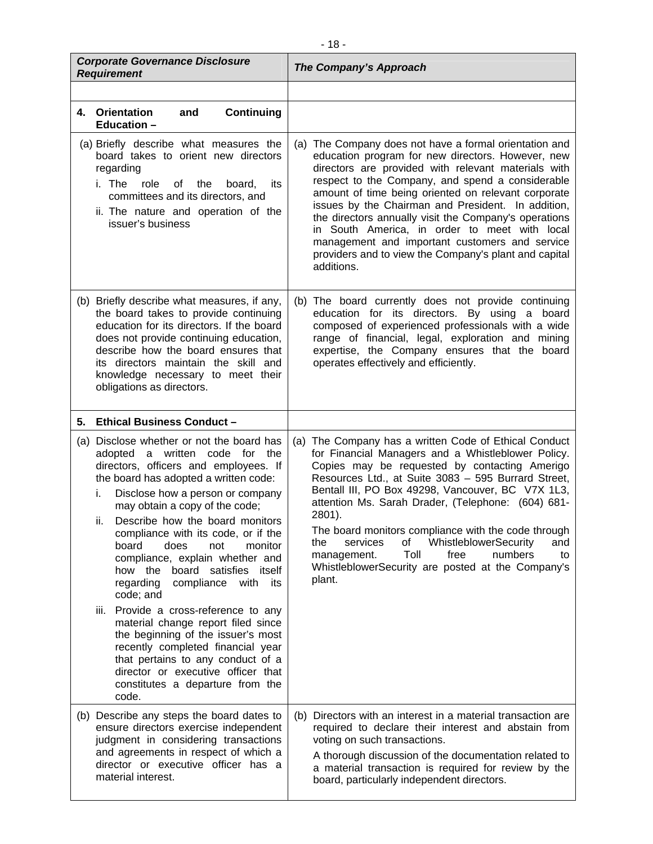| <b>Corporate Governance Disclosure</b><br><b>Requirement</b>                                                                                                                                                                                                                                                                                                                                                                                                                                                                                                                                                                                                                                                                                                       | <b>The Company's Approach</b>                                                                                                                                                                                                                                                                                                                                                                                                                                                                                                                                           |
|--------------------------------------------------------------------------------------------------------------------------------------------------------------------------------------------------------------------------------------------------------------------------------------------------------------------------------------------------------------------------------------------------------------------------------------------------------------------------------------------------------------------------------------------------------------------------------------------------------------------------------------------------------------------------------------------------------------------------------------------------------------------|-------------------------------------------------------------------------------------------------------------------------------------------------------------------------------------------------------------------------------------------------------------------------------------------------------------------------------------------------------------------------------------------------------------------------------------------------------------------------------------------------------------------------------------------------------------------------|
|                                                                                                                                                                                                                                                                                                                                                                                                                                                                                                                                                                                                                                                                                                                                                                    |                                                                                                                                                                                                                                                                                                                                                                                                                                                                                                                                                                         |
| 4. Orientation<br><b>Continuing</b><br>and<br><b>Education -</b>                                                                                                                                                                                                                                                                                                                                                                                                                                                                                                                                                                                                                                                                                                   |                                                                                                                                                                                                                                                                                                                                                                                                                                                                                                                                                                         |
| (a) Briefly describe what measures the<br>board takes to orient new directors<br>regarding<br>i. The<br>role<br>the<br>its<br>of<br>board,<br>committees and its directors, and<br>ii. The nature and operation of the<br>issuer's business                                                                                                                                                                                                                                                                                                                                                                                                                                                                                                                        | (a) The Company does not have a formal orientation and<br>education program for new directors. However, new<br>directors are provided with relevant materials with<br>respect to the Company, and spend a considerable<br>amount of time being oriented on relevant corporate<br>issues by the Chairman and President. In addition,<br>the directors annually visit the Company's operations<br>in South America, in order to meet with local<br>management and important customers and service<br>providers and to view the Company's plant and capital<br>additions.  |
| (b) Briefly describe what measures, if any,<br>the board takes to provide continuing<br>education for its directors. If the board<br>does not provide continuing education,<br>describe how the board ensures that<br>its directors maintain the skill and<br>knowledge necessary to meet their<br>obligations as directors.                                                                                                                                                                                                                                                                                                                                                                                                                                       | (b) The board currently does not provide continuing<br>education for its directors. By using a board<br>composed of experienced professionals with a wide<br>range of financial, legal, exploration and mining<br>expertise, the Company ensures that the board<br>operates effectively and efficiently.                                                                                                                                                                                                                                                                |
| <b>Ethical Business Conduct -</b><br>5.                                                                                                                                                                                                                                                                                                                                                                                                                                                                                                                                                                                                                                                                                                                            |                                                                                                                                                                                                                                                                                                                                                                                                                                                                                                                                                                         |
| (a) Disclose whether or not the board has<br>adopted a written code for the<br>directors, officers and employees. If<br>the board has adopted a written code:<br>Disclose how a person or company<br>i.<br>may obtain a copy of the code;<br>Describe how the board monitors<br>ii.<br>compliance with its code, or if the<br>does<br>board<br>not<br>monitor<br>compliance, explain whether and<br>how the board satisfies itself<br>regarding<br>compliance<br>with<br>its<br>code; and<br>iii. Provide a cross-reference to any<br>material change report filed since<br>the beginning of the issuer's most<br>recently completed financial year<br>that pertains to any conduct of a<br>director or executive officer that<br>constitutes a departure from the | (a) The Company has a written Code of Ethical Conduct<br>for Financial Managers and a Whistleblower Policy.<br>Copies may be requested by contacting Amerigo<br>Resources Ltd., at Suite 3083 - 595 Burrard Street,<br>Bentall III, PO Box 49298, Vancouver, BC V7X 1L3,<br>attention Ms. Sarah Drader, (Telephone: (604) 681-<br>2801).<br>The board monitors compliance with the code through<br>WhistleblowerSecurity<br>services<br>οf<br>and<br>the<br>Toll<br>numbers<br>free<br>management.<br>to<br>WhistleblowerSecurity are posted at the Company's<br>plant. |
| code.<br>(b) Describe any steps the board dates to<br>ensure directors exercise independent<br>judgment in considering transactions<br>and agreements in respect of which a                                                                                                                                                                                                                                                                                                                                                                                                                                                                                                                                                                                        | Directors with an interest in a material transaction are<br>(b)<br>required to declare their interest and abstain from<br>voting on such transactions.<br>A thorough discussion of the documentation related to                                                                                                                                                                                                                                                                                                                                                         |
| director or executive officer has a<br>material interest.                                                                                                                                                                                                                                                                                                                                                                                                                                                                                                                                                                                                                                                                                                          | a material transaction is required for review by the<br>board, particularly independent directors.                                                                                                                                                                                                                                                                                                                                                                                                                                                                      |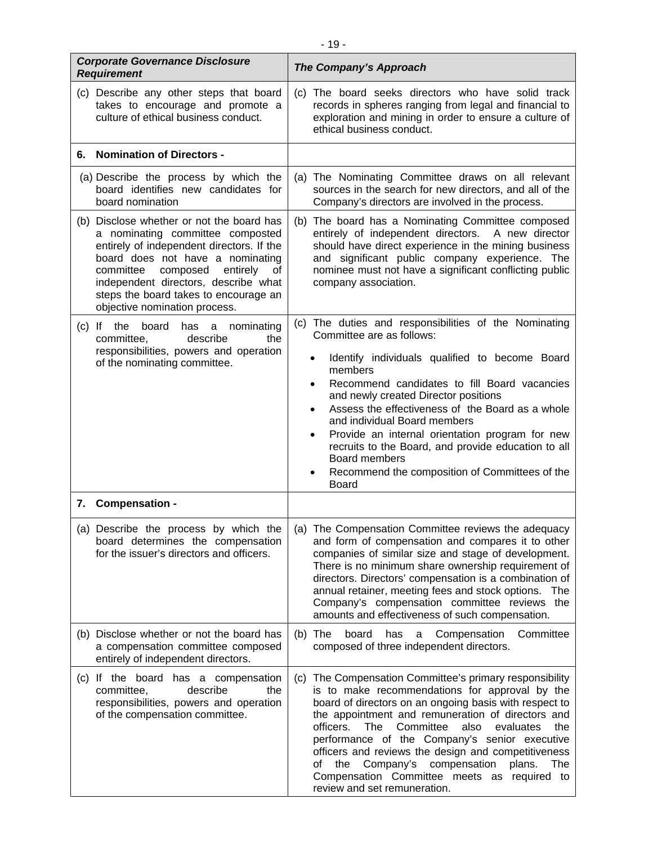| <b>Corporate Governance Disclosure</b><br><b>Requirement</b>                                                                                                                                                                                                                                                             | The Company's Approach                                                                                                                                                                                                                                                                                                                                                                                                                                                                                                                                                          |
|--------------------------------------------------------------------------------------------------------------------------------------------------------------------------------------------------------------------------------------------------------------------------------------------------------------------------|---------------------------------------------------------------------------------------------------------------------------------------------------------------------------------------------------------------------------------------------------------------------------------------------------------------------------------------------------------------------------------------------------------------------------------------------------------------------------------------------------------------------------------------------------------------------------------|
| (c) Describe any other steps that board<br>takes to encourage and promote a<br>culture of ethical business conduct.                                                                                                                                                                                                      | (c) The board seeks directors who have solid track<br>records in spheres ranging from legal and financial to<br>exploration and mining in order to ensure a culture of<br>ethical business conduct.                                                                                                                                                                                                                                                                                                                                                                             |
| <b>Nomination of Directors -</b><br>6.                                                                                                                                                                                                                                                                                   |                                                                                                                                                                                                                                                                                                                                                                                                                                                                                                                                                                                 |
| (a) Describe the process by which the<br>board identifies new candidates for<br>board nomination                                                                                                                                                                                                                         | (a) The Nominating Committee draws on all relevant<br>sources in the search for new directors, and all of the<br>Company's directors are involved in the process.                                                                                                                                                                                                                                                                                                                                                                                                               |
| (b) Disclose whether or not the board has<br>a nominating committee composted<br>entirely of independent directors. If the<br>board does not have a nominating<br>committee composed<br>entirely<br>of<br>independent directors, describe what<br>steps the board takes to encourage an<br>objective nomination process. | The board has a Nominating Committee composed<br>(b)<br>entirely of independent directors.<br>A new director<br>should have direct experience in the mining business<br>and significant public company experience. The<br>nominee must not have a significant conflicting public<br>company association.                                                                                                                                                                                                                                                                        |
| $(c)$ If<br>the<br>board<br>nominating<br>has a<br>describe<br>the<br>committee,<br>responsibilities, powers and operation<br>of the nominating committee.                                                                                                                                                               | The duties and responsibilities of the Nominating<br>(C)<br>Committee are as follows:<br>Identify individuals qualified to become Board<br>$\bullet$<br>members<br>Recommend candidates to fill Board vacancies<br>$\bullet$<br>and newly created Director positions<br>Assess the effectiveness of the Board as a whole<br>$\bullet$<br>and individual Board members<br>Provide an internal orientation program for new<br>$\bullet$<br>recruits to the Board, and provide education to all<br>Board members<br>Recommend the composition of Committees of the<br><b>Board</b> |
| 7. Compensation -                                                                                                                                                                                                                                                                                                        |                                                                                                                                                                                                                                                                                                                                                                                                                                                                                                                                                                                 |
| board determines the compensation<br>for the issuer's directors and officers.                                                                                                                                                                                                                                            | (a) Describe the process by which the $\mid$ (a) The Compensation Committee reviews the adequacy<br>and form of compensation and compares it to other<br>companies of similar size and stage of development.<br>There is no minimum share ownership requirement of<br>directors. Directors' compensation is a combination of<br>annual retainer, meeting fees and stock options. The<br>Company's compensation committee reviews the<br>amounts and effectiveness of such compensation.                                                                                         |
| (b) Disclose whether or not the board has<br>a compensation committee composed<br>entirely of independent directors.                                                                                                                                                                                                     | board<br>Compensation<br>Committee<br>$(b)$ The<br>has<br>a<br>composed of three independent directors.                                                                                                                                                                                                                                                                                                                                                                                                                                                                         |
| (c) If the board has a compensation<br>describe<br>committee,<br>the<br>responsibilities, powers and operation<br>of the compensation committee.                                                                                                                                                                         | The Compensation Committee's primary responsibility<br>(C)<br>is to make recommendations for approval by the<br>board of directors on an ongoing basis with respect to<br>the appointment and remuneration of directors and<br>officers.<br>Committee<br>evaluates<br>The<br>also<br>the<br>performance of the Company's senior executive<br>officers and reviews the design and competitiveness<br>Company's compensation<br>the<br>plans.<br>The<br>οf<br>Compensation Committee meets as required to<br>review and set remuneration.                                         |